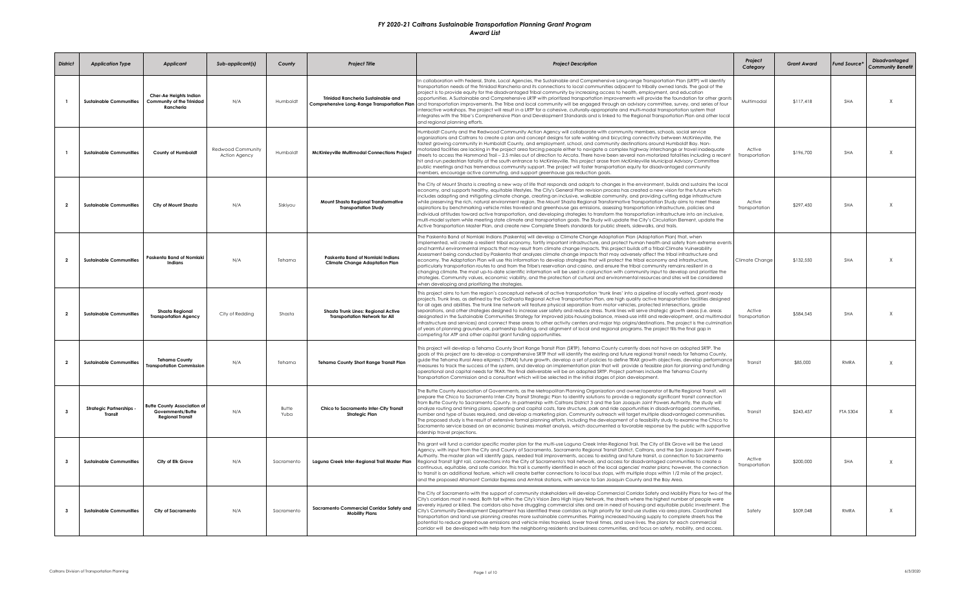| <b>District</b>         | <b>Application Type</b>                         | <b>Applicant</b>                                                                   | Sub-applicant(s)                   | County               | <b>Project Title</b>                                                                      | <b>Project Description</b>                                                                                                                                                                                                                                                                                                                                                                                                                                                                                                                                                                                                                                                                                                                                                                                                                                                                                                                                                                                                                                                                                                                                                                         | Project<br>Category      | <b>Grant Award</b> | <b>Fund Source*</b> | Disadvantaged<br><b>Community Benefit</b> |
|-------------------------|-------------------------------------------------|------------------------------------------------------------------------------------|------------------------------------|----------------------|-------------------------------------------------------------------------------------------|----------------------------------------------------------------------------------------------------------------------------------------------------------------------------------------------------------------------------------------------------------------------------------------------------------------------------------------------------------------------------------------------------------------------------------------------------------------------------------------------------------------------------------------------------------------------------------------------------------------------------------------------------------------------------------------------------------------------------------------------------------------------------------------------------------------------------------------------------------------------------------------------------------------------------------------------------------------------------------------------------------------------------------------------------------------------------------------------------------------------------------------------------------------------------------------------------|--------------------------|--------------------|---------------------|-------------------------------------------|
|                         | <b>Sustainable Communities</b>                  | Cher-Ae Heights Indian<br>Community of the Trinidad<br>Rancheria                   | N/A                                | Humboldt             | <b>Trinidad Rancheria Sustainable and</b><br>Comprehensive Long-Range Transportation Plan | In collaboration with Federal, State, Local Agencies, the Sustainable and Comprehensive Long-range Transportation Plan (LRTP) will identify<br>transportation needs of the Trinidad Rancheria and its connections to local communities adjacent to tribally owned lands. The goal of the<br>project is to provide equity for the disadvantaged Tribal community by increasing access to health, employment, and education<br>opportunities. A Sustainable and Comprehensive LRTP with prioritized transportation improvements will provide the foundation for other grants<br>and transportation improvements. The Tribe and local community will be engaged through an advisory committee, survey, and series of four<br>nteractive workshops. The project will result in a LRTP for a cohesive, culturally-appropriate and multi-modal transportation system that<br>ntegrates with the Tribe's Comprehensive Plan and Development Standards and is linked to the Regional Transportation Plan and other local<br>and reaional plannina efforts                                                                                                                                                  | Multimodal               | \$117,418          | SHA                 | $\mathsf{X}$                              |
|                         | <b>Sustainable Communities</b>                  | County of Humboldt                                                                 | Redwood Community<br>Action Agency | Humboldt             | <b>McKinleyville Multimodal Connections Project</b>                                       | Humboldt County and the Redwood Community Action Agency will collaborate with community members, schools, social service<br>organizations and Caltrans to create a plan and concept desians for safe walking and bicvcling connectivity between McKinlevville, the<br>fastest growing community in Humboldt County, and employment, school, and community destinations around Humboldt Bay. Non-<br>notorized facilities are lacking in the project area forcing people either to navigate a complex highway interchange or travel inadequate<br>reets to access the Hammond Trail – 2.5 miles out of direction to Arcata. There have been several non-motorized fatalities including a recent<br>hit and run pedestrian fatality at the south entrance to McKinleyville. This project arose from McKinleyville Municipal Advisory Committee<br>public meetings and has tremendous community support. The project will foster transportation equity for disadvantaged community<br>members, encourage active commuting, and support greenhouse gas reduction goals.                                                                                                                                | Active<br>Transportation | \$196,700          | SHA                 | $\mathsf{x}$                              |
| $\overline{2}$          | <b>Sustainable Communities</b>                  | City of Mount Shasta                                                               | N/A                                | Siskiyou             | Mount Shasta Regional Transformative<br><b>Transportation Study</b>                       | The City of Mount Shasta is creating a new way of life that responds and adapts to changes in the environment, builds and sustains the local<br>economy, and supports healthy, equitable lifestyles. The City's General Plan revision process has created a new vision for the future which<br>includes adapting and mitigating climate change, creating an inclusive, walkable community, and providing cutting edge infrastructure<br>while preserving the rich, natural environment region. The Mount Shasta Regional Transformative Transportation Study aims to meet these<br>aspirations by benchmarking vehicle miles traveled and greenhouse gas emissions, assessing transportation infrastructure, policies and<br>individual attitudes toward active transportation, and developing strategies to transform the transportation infrastructure into an inclusive,<br>multi-model system while meeting state climate and transportation goals. The Study will update the City's Circulation Element, update the<br>Active Transportation Master Plan, and create new Complete Streets standards for public streets, sidewalks, and trails.                                                | Active<br>Transportation | \$297,450          | SHA                 | $\times$                                  |
| $\overline{2}$          | <b>Sustainable Communities</b>                  | Paskenta Band of Nomlaki<br>Indians                                                | N/A                                | Tehama               | Paskenta Band of Nomlaki Indians<br><b>Climate Change Adaptation Plan</b>                 | The Paskenta Band of Nomlaki Indians (Paskenta) will develop a Climate Change Adaptation Plan (Adaptation Plan) that, when<br>implemented, will create a resilient tribal economy, fortify important infrastructure, and protect human health and safety from extreme events<br>and harmful environmental impacts that may result from climate change impacts. This project builds off a Tribal Climate Vulnerability<br>Assessment being conducted by Paskenta that analyzes climate change impacts that may adversely affect the tribal infrastructure and<br>economy. The Adaptation Plan will use this information to develop strategies that will protect the tribal economy and infrastructure,<br>particularly transportation routes to and from the Tribe's reservation and casino, and ensure the tribal community remains resilient in a<br>changing climate. The most up-to-date scientific information will be used in conjunction with community input to develop and prioritize the<br>strategies. Community values, economic viability, and the protection of cultural and environmental resources and sites will be considered<br>when developing and prioritizing the strategies. | Climate Change           | \$132,550          | <b>SHA</b>          | $\mathsf{X}$                              |
| $\overline{2}$          | <b>Sustainable Communities</b>                  | <b>Shasta Regional</b><br><b>Transportation Agency</b>                             | City of Redding                    | Shasta               | Shasta Trunk Lines: Regional Active<br><b>Transportation Network for All</b>              | This project aims to turn the region's conceptual network of active transportation 'trunk lines' into a pipeline of locally vetted, grant ready<br>projects. Trunk lines, as defined by the GoShasta Regional Active Transportation Plan, are high quality active transportation facilities designed<br>for all ages and abilities. The trunk line network will feature physical separation from motor vehicles, protected intersections, grade<br>separations, and other strategies designed to increase user safety and reduce stress. Trunk lines will serve strategic growth areas (i.e. areas<br>designated in the Sustainable Communities Strategy for improved jobs-housing balance, mixed-use infill and redevelopment, and multimodal<br>nfrastructure and services) and connect these areas to other activity centers and major trip origins/destinations. The project is the culmination<br>of years of planning groundwork, partnership building, and alignment of local and regional programs. The project fills the final gap in<br>competing for ATP and other capital grant funding opportunities.                                                                                 | Active<br>Transportation | \$584,545          | <b>SHA</b>          | $\mathsf{X}$                              |
| $\overline{2}$          | <b>Sustainable Communities</b>                  | <b>Tehama County</b><br><b>Transportation Commission</b>                           | N/A                                | Tehama               | <b>Tehama County Short Range Transit Plan</b>                                             | This project will develop a Tehama County Short Range Transit Plan (SRTP). Tehama County currently does not have an adopted SRTP. The<br>goals of this project are to develop a comprehensive SRTP that will identify the existing and future regional transit needs for Tehama County,<br>guide the Tehama Rural Area eXpress's (TRAX) future growth, develop a set of policies to define TRAX growth objectives, develop performance<br>neasures to track the success of the system, and develop an implementation plan that will provide a feasible plan for planning and funding<br>operational and capital needs for TRAX. The final deliverable will be an adopted SRTP. Project partners include the Tehama County<br>ransportation Commission and a consultant which will be selected in the initial stages of plan development.                                                                                                                                                                                                                                                                                                                                                           | Transit                  | \$85,000           | <b>RMRA</b>         | $\times$                                  |
| $\overline{\mathbf{3}}$ | <b>Strategic Partnerships</b><br><b>Transit</b> | <b>Butte County Association of</b><br>Governments/Butte<br><b>Regional Transit</b> | N/A                                | <b>Butte</b><br>Yuba | Chico to Sacramento Inter-City Transit<br><b>Strategic Plan</b>                           | The Butte County Association of Governments, as the Metropolitan Planning Organization and owner/operator of Butte Regional Transit, will<br>prepare the Chico to Sacramento Inter-City Transit Strategic Plan to identify solutions to provide a regionally significant transit connection<br>from Butte County to Sacramento County. In partnership with Caltrans District 3 and the San Joaquin Joint Powers Authority, the study will<br>analyze routing and timing plans, operating and capital costs, fare structure, park and ride opportunities in disadvantaged communities,<br>number and type of buses required, and develop a marketing plan. Community outreach will target multiple disadvantaged communities.<br>The proposed study is the result of extensive formal planning efforts, including the development of a feasibility study to examine the Chico to<br>Sacramento service based on an economic business market analysis, which documented a favorable response by the public with supportive<br>idership travel projections.                                                                                                                                           | Transit                  | \$243.457          | FTA 5304            | $\mathsf{X}$                              |
| $\mathbf{3}$            | <b>Sustainable Communities</b>                  | City of Elk Grove                                                                  | N/A                                | Sacramento           | Laguna Creek Inter-Regional Trail Master Plan                                             | This grant will fund a corridor specific master plan for the multi-use Laguna Creek Inter-Regional Trail. The City of Elk Grove will be the Lead<br>Agency, with input from the City and County of Sacramento, Sacramento Regional Transit District, Caltrans, and the San Joaquin Joint Powers<br>Authority. The master plan will identify gaps, needed trail improvements, access to existing and future transit, a connection to Sacramento<br>Regional Transit light rail, connections into the City of Sacramento's trail network, and access for disadvantaged communities to create a<br>continuous, equitable, and safe corridor. This trail is currently identified in each of the local agencies' master plans; however, the connection<br>to transit is an additional feature, which will create better connections to local bus stops, with multiple stops within 1/2 mile of the project,<br>and the proposed Altamont Corridor Express and Amtrak stations, with service to San Joaquin County and the Bay Area.                                                                                                                                                                     | Active<br>Transportation | \$200,000          | <b>SHA</b>          | $\mathsf{X}$                              |
| $\overline{\mathbf{3}}$ | <b>Sustainable Communities</b>                  | <b>City of Sacramento</b>                                                          | N/A                                | Sacramento           | Sacramento Commercial Corridor Safety and<br><b>Mobility Plans</b>                        | The City of Sacramento with the support of community stakeholders will develop Commercial Corridor Safety and Mobility Plans for two of the<br>City's corridors most in need. Both fall within the City's Vision Zero High Injury Network, the streets where the highest number of people were<br>severely injured or killed. The corridors also have struggling commercial sites and are in need of housing and equitable public investment. The<br>City's Community Development Department has identified these corridors as high priority for land use studies via area plans. Coordinated<br>ransportation and land use planning creates more sustainable communities. Pairing increased housing supply to complete streets has the<br>potential to reduce greenhouse emissions and vehicle miles traveled, lower travel times, and save lives. The plans for each commercial<br>corridor will be developed with help from the neighboring residents and business communities, and focus on safety, mobility, and access.                                                                                                                                                                      | Safety                   | \$509.048          | RMRA                | $\times$                                  |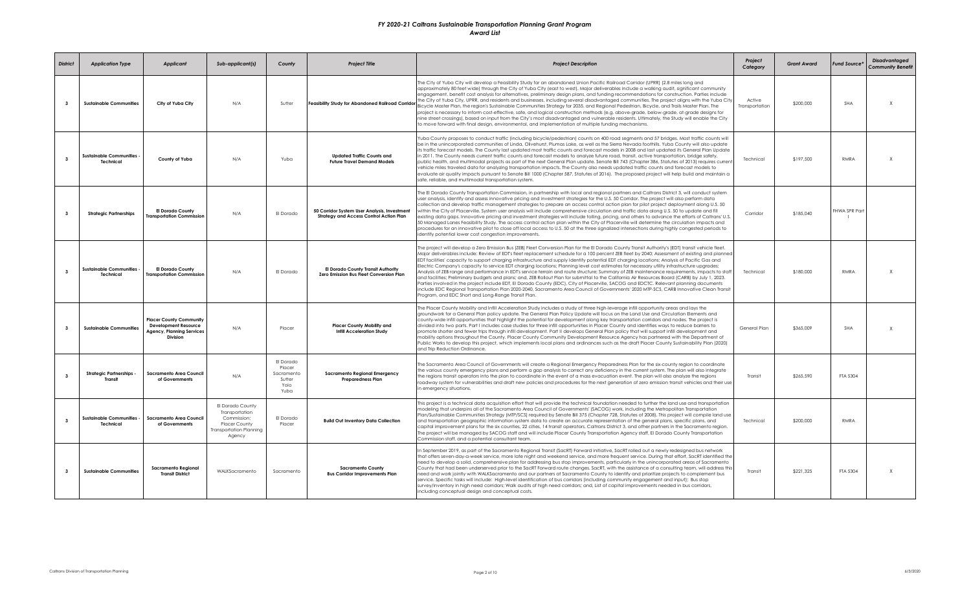| <b>District</b>         | <b>Application Type</b>                         | <b>Applicant</b>                                                                                                     | Sub-applicant(s)                                                                                        | County                                                      | <b>Project Title</b>                                                                           | <b>Project Description</b>                                                                                                                                                                                                                                                                                                                                                                                                                                                                                                                                                                                                                                                                                                                                                                                                                                                                                                                                                                                                                                                                                                                                                                                                                            | Project<br>Category      | <b>Grant Award</b> | <b>Fund Source*</b>  | <b>Disadvantaged</b><br><b>Community Benefit</b> |
|-------------------------|-------------------------------------------------|----------------------------------------------------------------------------------------------------------------------|---------------------------------------------------------------------------------------------------------|-------------------------------------------------------------|------------------------------------------------------------------------------------------------|-------------------------------------------------------------------------------------------------------------------------------------------------------------------------------------------------------------------------------------------------------------------------------------------------------------------------------------------------------------------------------------------------------------------------------------------------------------------------------------------------------------------------------------------------------------------------------------------------------------------------------------------------------------------------------------------------------------------------------------------------------------------------------------------------------------------------------------------------------------------------------------------------------------------------------------------------------------------------------------------------------------------------------------------------------------------------------------------------------------------------------------------------------------------------------------------------------------------------------------------------------|--------------------------|--------------------|----------------------|--------------------------------------------------|
| $\mathbf{3}$            | <b>Sustainable Communities</b>                  | City of Yuba City                                                                                                    | N/A                                                                                                     | Sutter                                                      | Feasibility Study for Abandoned Railroad Corridor                                              | The City of Yuba City will develop a Feasibility Study for an abandoned Union Pacific Railroad Corridor (UPRR) (2.8 miles long and<br>approximately 80 feet wide) through the City of Yuba City (east to west). Major deliverables include a walking audit, significant community<br>engagement, benefit cost analysis for alternatives, preliminary desian plans, and funding recommendations for construction, Parties include<br>the City of Yuba City, UPRR, and residents and businesses, including several disadvantaged communities. The project aligns with the Yuba City<br>Bicycle Master Plan, the region's Sustainable Communities Strategy for 2035, and Regional Pedestrian, Bicycle, and Trails Master Plan. The<br>project is necessary to inform cost-effective, safe, and logical construction methods (e.g. above-grade, below-grade, at-grade designs for<br>nine street crossings), based on input from the City's most disadvantaged and vulnerable residents. Ultimately, the Study will enable the City<br>to move forward with final design, environmental, and implementation of multiple funding mechanisms.                                                                                                               | Active<br>Transportation | \$200.000          | SHA                  | $\mathsf{x}$                                     |
| $\overline{\mathbf{3}}$ | <b>Sustainable Communities</b><br>Technical     | County of Yuba                                                                                                       | N/A                                                                                                     | Yuba                                                        | <b>Updated Traffic Counts and</b><br><b>Future Travel Demand Models</b>                        | Yuba County proposes to conduct traffic (including bicycle/pedestrian) counts on 400 road segments and 57 bridges. Most traffic counts will<br>be in the unincorporated communities of Linda, Olivehurst, Plumas Lake, as well as the Sierra Nevada foothills. Yuba County will also update<br>its traffic forecast models. The County last updated most traffic counts and forecast models in 2008 and last updated its General Plan Update<br>in 2011. The County needs current traffic counts and forecast models to analyze future road, transit, active transportation, bridge safety,<br>public health, and multimodal projects as part of the next General Plan update. Senate Bill 743 (Chapter 386, Statutes of 2013) requires current<br>vehicle miles traveled data for analyzing transportation impacts. The County also needs updated traffic counts and forecast models to<br>evaluate air quality impacts pursuant to Senate Bill 1000 (Chapter 587, Statutes of 2016). The proposed project will help build and maintain a<br>safe, reliable, and multimodal transportation system,                                                                                                                                                   | Technical                | \$197.500          | RMRA                 | $\mathsf{x}$                                     |
| $\mathbf{3}$            | <b>Strategic Partnerships</b>                   | <b>El Dorado County</b><br>ransportation Commission                                                                  | N/A                                                                                                     | El Dorado                                                   | 50 Corridor System User Analysis, Investment<br><b>Strategy and Access Control Action Plan</b> | The El Dorado County Transportation Commission, in partnership with local and regional partners and Caltrans District 3, will conduct system<br>user analysis, identify and assess innovative pricing and investment strategies for the U.S. 50 Corridor. The project will also perform data<br>collection and develop traffic management strategies to prepare an access control action plan for pilot project deployment glong U.S. 50<br>within the City of Placerville. System user analysis will include comprehensive circulation and traffic data along U.S. 50 to update and fill<br>existing data gaps. Innovative pricing and investment strategies will include tolling, pricing, and others to advance the efforts of Caltrans' U.S.<br>50 Managed Lanes Feasibility Study. The access control action plan within the City of Placerville will determine the circulation impacts and<br>procedures for an innovative pilot to close off local access to U.S. 50 at the three signalized intersections during highly congested periods to<br>identify potential lower cost congestion improvements.                                                                                                                                        | Corridor                 | \$185.040          | <b>FHWA SPR Part</b> |                                                  |
| $\overline{\mathbf{3}}$ | <b>Sustainable Communities</b><br>Technical     | <b>El Dorado County</b><br><b>Transportation Commission</b>                                                          | N/A                                                                                                     | El Dorado                                                   | El Dorado County Transit Authority<br>Zero Emission Bus Fleet Conversion Plan                  | The project will develop a Zero Emission Bus (ZEB) Fleet Conversion Plan for the El Dorado County Transit Authority's (EDT) transit vehicle fleet.<br>Maior deliverables include: Review of EDT's fleet replacement schedule for a 100 percent ZEB fleet by 2040; Assessment of existina and planned<br>EDT facilities' capacity to support charging infrastructure and supply Identify potential EDT charging locations; Analysis of Pacific Gas and<br>Electric Company's capacity to service EDT charaina locations: Plannina level cost estimates for necessary utility infrastructure uparades:<br>Analysis of ZEB range and performance in EDT's service terrain and route structure; Summary of ZEB maintenance requirements, impacts to staff<br>and facilities: Preliminary budgets and plans: and, ZEB Rollout Plan for submittal to the California Air Resources Board (CARB) by July 1, 2023,<br>Parties involved in the project include EDT, El Dorado County (EDC), City of Placerville, SACOG and EDCTC. Relevant planning documents<br>include EDC Regional Transportation Plan 2020-2040, Sacramento Area Council of Governments' 2020 MTP-SCS, CARB Innovative Clean Transit<br>Program, and EDC Short and Long-Range Transit Plan. | Technical                | \$180,000          | <b>RMRA</b>          | $\chi$                                           |
| $\mathbf{3}$            | <b>Sustainable Communities</b>                  | <b>Placer County Community</b><br><b>Development Resource</b><br><b>Agency, Planning Services</b><br><b>Division</b> | N/A                                                                                                     | Placer                                                      | <b>Placer County Mobility and</b><br><b>Infill Acceleration Study</b>                          | The Placer County Mobility and Infill Acceleration Study includes a study of three high-leverage infill opportunity areas and lays the<br>aroundwork for a General Plan policy update. The General Plan Policy Update will focus on the Land Use and Circulation Elements and<br>county-wide infill opportunities that highlight the potential for development along key transportation corridors and nodes. The project is<br>divided into two parts. Part I includes case studies for three infill opportunities in Placer County and identifies ways to reduce barriers to<br>promote shorter and fewer trips through infill development. Part II develops General Plan policy that will support infill development and<br>mobility options throughout the County, Placer County Community Development Resource Agency has partnered with the Department of<br>Public Works to develop this project, which implements local plans and ordinances such as the draft Placer County Sustainability Plan (2020)<br>and Trip Reduction Ordinance.                                                                                                                                                                                                       | General Plan             | \$365,009          | SHA                  | $\mathsf{X}$                                     |
| $\mathbf{3}$            | <b>Strategic Partnerships</b><br><b>Transit</b> | Sacramento Area Council<br>of Governments                                                                            | N/A                                                                                                     | El Dorado<br>Placer<br>Sacramento<br>Sutter<br>Yolo<br>Yuba | <b>Sacramento Regional Emergency</b><br><b>Preparedness Plan</b>                               | The Sacramento Area Council of Governments will create a Regional Emergency Preparedness Plan for the six-county region to coordinate<br>the various county emergency plans and perform a gap analysis to correct any deficiency in the current system. The plan will also integrate<br>the regions transit operators into the plan to coordinate in the event of a mass evacuation event. The plan will also analyze the regions<br>roadway system for vulnerabilities and draft new policies and procedures for the next generation of zero emission transit vehicles and their use<br>n emergency situations.                                                                                                                                                                                                                                                                                                                                                                                                                                                                                                                                                                                                                                      | Transit                  | \$265.590          | FTA 5304             |                                                  |
| $\overline{\mathbf{3}}$ | Sustainable Communities -<br>Technical          | <b>Sacramento Area Council</b><br>of Governments                                                                     | El Dorado County<br>Transportation<br>Commission:<br>Placer County<br>Transportation Planning<br>Agency | El Dorado<br>Placer                                         | <b>Build Out Inventory Data Collection</b>                                                     | This project is a technical data acquisition effort that will provide the technical foundation needed to further the land use and transportation<br>modeling that underpins all of the Sacramento Area Council of Governments' (SACOG) work, including the Metropolitan Transportation<br>Plan/Sustainable Communities Strategy (MTP/SCS) required by Senate Bill 375 (Chapter 728, Statutes of 2008). This project will compile land use<br>and transportation geographic information system data to create an accurate representation of the general plans, specific plans, and<br>capital improvement plans for the six counties, 22 cities, 14 transit operators, Caltrans District 3, and other partners in the Sacramento region.<br>The project will be managed by SACOG staff and will include Placer County Transportation Agency staff, El Dorado County Transportation<br>Commission staff, and a potential consultant team.                                                                                                                                                                                                                                                                                                               | Technical                | \$200,000          | RMRA                 |                                                  |
| $\mathbf{3}$            | <b>Sustainable Communities</b>                  | <b>Sacramento Regional</b><br><b>Transit District</b>                                                                | WALKSacramento                                                                                          | Sacramento                                                  | <b>Sacramento County</b><br><b>Bus Corridor Improvements Plan</b>                              | n September 2019, as part of the Sacramento Regional Transit (SacRT) Forward initiative, SacRT rolled out a newly redesigned bus network<br>that offers seven-day-a-week service, more late night and weekend service, and more frequent service. During that effort, SacRT identified the<br>need to develop a solid, comprehensive plan for addressing bus stop improvements, particularly in the unincorporated areas of Sacramento<br>County that had been underserved prior to the SacRT Forward route changes. SacRT, with the assistance of a consulting team, will address this<br>need and work jointly with WALKSacramento and our partners at Sacramento County to identify and prioritize projects to complement bus<br>service. Specific tasks will include: High-level identification of bus corridors (including community engagement and input); Bus stop<br>survey/inventory in high need corridors; Walk audits of high need corridors; and, List of capital improvements needed in bus corridors,<br>including conceptual design and conceptual costs.                                                                                                                                                                             | Transit                  | \$221.325          | FTA 5304             | $\mathsf{x}$                                     |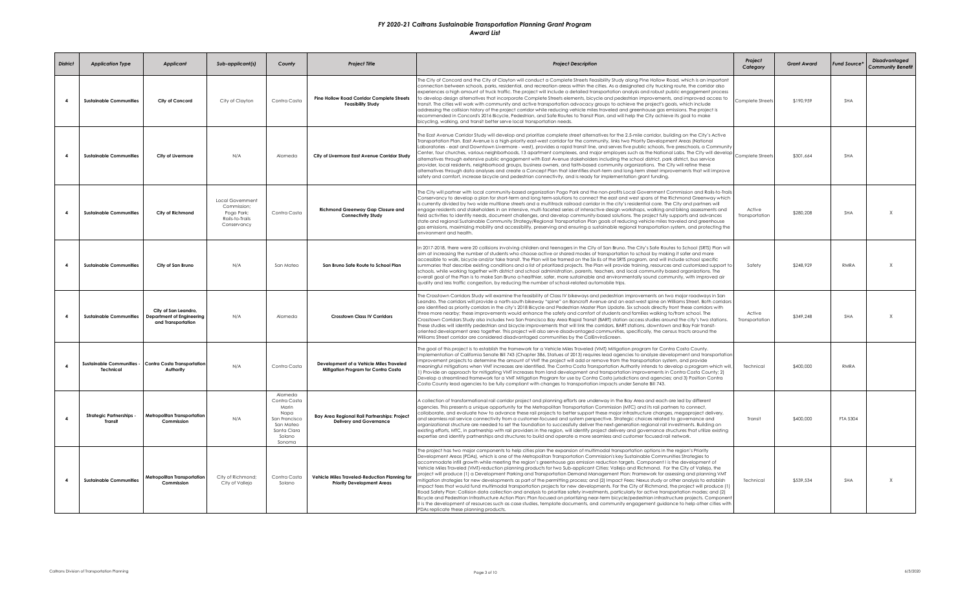| <b>District</b>         | <b>Application Type</b>                           | <b>Applicant</b>                                                        | Sub-applicant(s)                                                                | County                                                                                                    | <b>Project Title</b>                                                               | <b>Project Description</b>                                                                                                                                                                                                                                                                                                                                                                                                                                                                                                                                                                                                                                                                                                                                                                                                                                                                                                                                                                                                                                                                                                                                                                                                                                                                                                                                                                                                                                                                    | Project<br>Category      | <b>Grant Award</b> | <b>Fund Source*</b> | <b>Disadvantaged</b><br><b>Community Benefit</b> |
|-------------------------|---------------------------------------------------|-------------------------------------------------------------------------|---------------------------------------------------------------------------------|-----------------------------------------------------------------------------------------------------------|------------------------------------------------------------------------------------|-----------------------------------------------------------------------------------------------------------------------------------------------------------------------------------------------------------------------------------------------------------------------------------------------------------------------------------------------------------------------------------------------------------------------------------------------------------------------------------------------------------------------------------------------------------------------------------------------------------------------------------------------------------------------------------------------------------------------------------------------------------------------------------------------------------------------------------------------------------------------------------------------------------------------------------------------------------------------------------------------------------------------------------------------------------------------------------------------------------------------------------------------------------------------------------------------------------------------------------------------------------------------------------------------------------------------------------------------------------------------------------------------------------------------------------------------------------------------------------------------|--------------------------|--------------------|---------------------|--------------------------------------------------|
| $\overline{a}$          | <b>Sustainable Communities</b>                    | City of Concord                                                         | City of Clayton                                                                 | Contra Costa                                                                                              | <b>Pine Hollow Road Corridor Complete Streets</b><br><b>Feasibility Study</b>      | The City of Concord and the City of Clayton will conduct a Complete Streets Feasibility Study along Pine Hollow Road, which is an important<br>connection between schools, parks, residential, and recreation areas within the cities. As a designated city trucking route, the corridor also<br>experiences a high amount of truck traffic. The project will include a detailed transportation analysis and robust public engagement process<br>to develop design alternatives that incorporate Complete Streets elements, bicycle and pedestrian improvements, and improved access to<br>ransit. The cities will work with community and active transportation advocacy groups to achieve the project's goals, which include<br>addressing the collision history of the project corridor while reducing vehicle miles traveled and greenhouse gas emissions. The project is<br>recommended in Concord's 2016 Bicycle, Pedestrian, and Safe Routes to Transit Plan, and will help the City achieve its goal to make<br>bicycling, walking, and transit better serve local transportation needs.                                                                                                                                                                                                                                                                                                                                                                                              | Complete Streets         | \$190,959          | SHA                 |                                                  |
| $\overline{\mathbf{4}}$ | <b>Sustainable Communities</b>                    | City of Livermore                                                       | N/A                                                                             | Alameda                                                                                                   | City of Livermore East Avenue Corridor Study                                       | The East Avenue Corridor Study will develop and prioritize complete street alternatives for the 2.5-mile corridor, building on the City's Active<br>Transportation Plan. East Avenue is a high-priority east-west corridor for the community, links two Priority Development Areas (National<br>Laboratories - east and Downtown Livermore - west), provides a rapid transit line, and serves five public schools, five preschools, a Community<br>Center, four churches, various neighborhoods, 13 apartment complexes, and major employers such as the National Labs. The City will develop<br>alternatives through extensive public engagement with East Avenue stakeholders including the school district, park district, bus service<br>provider, local residents, neighborhood groups, business owners, and faith-based community organizations. The City will refine these<br>alternatives through data analyses and create a Concept Plan that identifies short-term and long-term street improvements that will improve<br>safety and comfort, increase bicycle and pedestrian connectivity, and is ready for implementation grant funding.                                                                                                                                                                                                                                                                                                                                          | Complete Streets         | \$301,664          | SHA                 |                                                  |
| $\overline{\mathbf{4}}$ | <b>Sustainable Communities</b>                    | City of Richmond                                                        | Local Government<br>Commission;<br>Pogo Park;<br>Rails-to-Trails<br>Conservancy | Contra Costa                                                                                              | <b>Richmond Greenway Gap Closure and</b><br><b>Connectivity Study</b>              | The City will partner with local community-based organization Pogo Park and the non-profits Local Government Commission and Rails-to-Trails<br>Conservancy to develop a plan for short-term and long term-solutions to connect the east and west spans of the Richmond Greenway which<br>s currently divided by two wide multilane streets and a multitrack railroad corridor in the city's residential core. The City and partners will<br>engage residents and stakeholders in an intensive, multi-faceted series of interactive design workshops, walking and biking assessments and<br>field activities to identify needs, document challenges, and develop community-based solutions. The project fully supports and advances<br>state and reaional Sustainable Community Strateay/Reaional Transportation Plan aoals of reducina vehicle miles traveled and areenhouse<br>gas emissions, maximizing mobility and accessibility, preserving and ensuring a sustainable regional transportation system, and protecting the<br>environment and health.                                                                                                                                                                                                                                                                                                                                                                                                                                     | Active<br>Transportation | \$280,208          | <b>SHA</b>          | $\mathsf{X}$                                     |
|                         | <b>Sustainable Communities</b>                    | City of San Bruno                                                       | N/A                                                                             | San Mateo                                                                                                 | San Bruno Safe Route to School Plan                                                | In 2017-2018, there were 20 collisions involving children and teenagers in the City of San Bruno. The City's Safe Routes to School (SRTS) Plan will<br>aim at increasing the number of students who choose active or shared modes of transportation to school by making it safer and more<br>accessible to walk, bicycle and/or take transit. The Plan will be framed on the Six Es of the SRTS program, and will include school specific<br>summaries that describe existing conditions and a list of prioritized projects. The Plan will provide training, resources and customized support to<br>schools, while working together with district and school administration, parents, teachers, and local community based organizations. The<br>overall goal of the Plan is to make San Bruno a healthier, safer, more sustainable and environmentally sound community, with improved air<br>quality and less traffic congestion, by reducing the number of school-related automobile trips.                                                                                                                                                                                                                                                                                                                                                                                                                                                                                                  | Safety                   | \$248,929          | <b>RMRA</b>         | $\chi$                                           |
| $\overline{\mathbf{4}}$ | <b>Sustainable Communities</b>                    | City of San Leandro,<br>Department of Engineering<br>and Transportation | N/A                                                                             | Alameda                                                                                                   | <b>Crosstown Class IV Corridors</b>                                                | The Crosstown Corridors Study will examine the feasibility of Class IV bikeways and pedestrian improvements on two major roadways in San<br>Leandro. The corridors will provide a north-south bikeway "spine" on Bancroft Avenue and an east-west spine on Williams Street. Both corridors<br>are identified as priority corridors in the city's 2018 Bicycle and Pedestrian Master Plan Update. Six schools directly front these corridors with<br>three more nearby; these improvements would enhance the safety and comfort of students and families walking to/from school. The<br>Crosstown Corridors Study also includes two San Francisco Bay Area Rapid Transit (BART) station access studies around the city's two stations.<br>These studies will identify pedestrian and bicycle improvements that will link the corridors, BART stations, downtown and Bay Fair transit-<br>oriented development area together. This project will also serve disadvantaged communities, specifically, the census tracts around the<br>Williams Street corridor are considered disadvantaged communities by the CalEnviroScreen.                                                                                                                                                                                                                                                                                                                                                                   | Active<br>Transportation | \$349,248          | SHA                 | X                                                |
| $\mathbf{A}$            | <b>Sustainable Communities -</b><br>Technical     | <b>Contra Costa Transportation</b><br>Authority                         | N/A                                                                             | Contra Costa                                                                                              | Development of a Vehicle Miles Traveled<br>Mitiaation Proaram for Contra Costa     | The goal of this project is to establish the framework for a Vehicle Miles Traveled (VMT) Mitigation program for Contra Costa County.<br>Implementation of California Senate Bill 743 (Chapter 386, Statues of 2013) requires lead agencies to analyze development and transportation<br>improvement projects to determine the amount of VMT the project will add or remove from the transportation system, and provide<br>neaningful mitigations when VMT increases are identified. The Contra Costa Transportation Authority intends to develop a program which will,<br>) Provide an approach for mitigating VMT increases from land development and transportation improvements in Contra Costa County; 2)<br>Develop a streamlined framework for a VMT Mitigation Program for use by Contra Costa jurisdictions and agencies; and 3) Position Contra<br>Costa County lead agencies to be fully compliant with changes to transportation impacts under Senate Bill 743.                                                                                                                                                                                                                                                                                                                                                                                                                                                                                                                   | Technical                | \$400,000          | <b>RMRA</b>         |                                                  |
|                         | <b>Strategic Partnerships -</b><br><b>Transit</b> | <b>Metropolitan Transportation</b><br>Commission                        | N/A                                                                             | Alameda<br>Contra Costa<br>Marin<br>Napa<br>San Francisco<br>San Mateo<br>Santa Clara<br>Solano<br>Sonoma | Bay Area Regional Rail Partnerships: Project<br><b>Delivery and Governance</b>     | A collection of transformational rail corridor project and planning efforts are underway in the Bay Area and each are led by different<br>agencies. This presents a unique opportunity for the Metropolitan Transportation Commission (MTC) and its rail partners to connect,<br>collaborate, and evaluate how to advance these rail projects to better support these major infrastructure changes, megaproject delivery,<br>and seamless rail service connectivity from a customer-focused and system perspective. Strategic choices related to governance and<br>organizational structure are needed to set the foundation to successfully deliver the next-generation regional rail investments. Building on<br>existing efforts, MTC, in partnership with rail providers in the region, will identify project delivery and governance structures that utilize existing<br>expertise and identify partnerships and structures to build and operate a more seamless and customer focused rail network.                                                                                                                                                                                                                                                                                                                                                                                                                                                                                      | Transit                  | \$400,000          | FTA 5304            |                                                  |
| $\mathbf{A}$            | <b>Sustainable Communities</b>                    | <b>Metropolitan Transportation</b><br>Commission                        | City of Richmond;<br>City of Vallejo                                            | Contra Costa<br>Solano                                                                                    | Vehicle Miles Traveled-Reduction Planning for<br><b>Priority Development Areas</b> | The project has two major components to help cities plan the expansion of multimodal transportation options in the region's Priority<br>Development Areas (PDAs), which is one of the Metropolitan Transportation Commission's key Sustainable Communities Strategies to<br>accommodate infill growth while meeting the region's greenhouse gas emission reduction targets. Component I is the development of<br>Vehicle Miles Traveled (VMT)-reduction planning products for two Sub-applicant Cities: Vallejo and Richmond. For the City of Vallejo, the<br>project will produce (1) a Development Parking and Transportation Demand Management Plan: Framework for assessing and planning VMT<br>mitigation strategies for new developments as part of the permitting process; and (2) Impact Fees: Nexus study or other analysis to establish<br>mpact fees that would fund multimodal transportation projects for new developments. For the City of Richmond, the project will produce (1)<br>Road Safety Plan: Collision data collection and analysis to prioritize safety investments, particularly for active transportation modes; and (2)<br>Bicycle and Pedestrian Infrastructure Action Plan: Plan focused on prioritizing near-term bicycle/pedestrian infrastructure projects. Component<br>Il is the development of resources such as case studies, template documents, and community engagement guidance to help other cities with<br>PDAs replicate these planning products. | Technical                | \$539,534          | SHA                 | $\chi$                                           |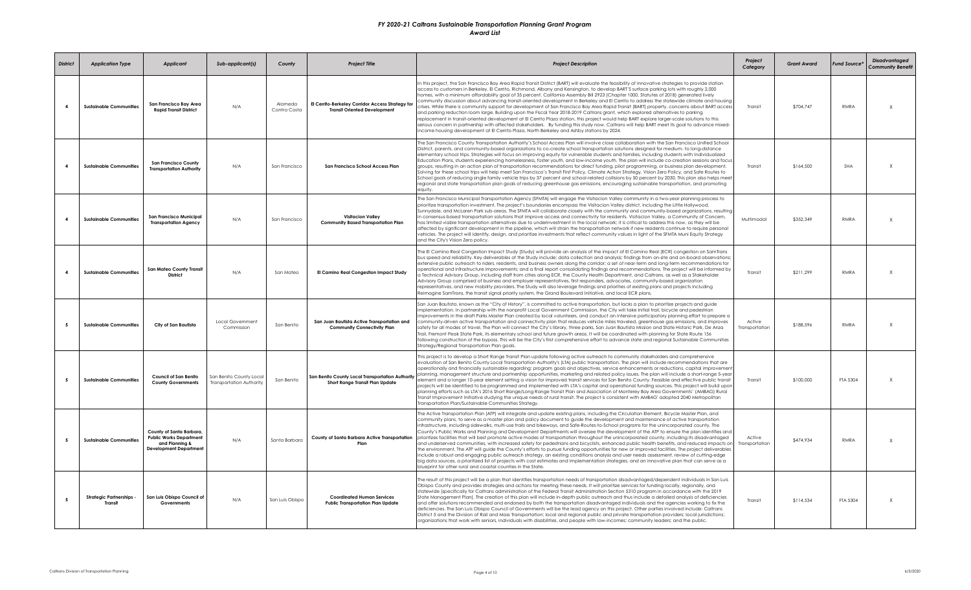| <b>District</b>         | <b>Application Type</b>                    | <b>Applicant</b>                                                                                             | Sub-applicant(s)                                    | County                  | <b>Project Title</b>                                                                    | <b>Project Description</b>                                                                                                                                                                                                                                                                                                                                                                                                                                                                                                                                                                                                                                                                                                                                                                                                                                                                                                                                                                                                                                                                                                                                                                                                                                                                                                                                                                  | Project<br>Category      | <b>Grant Award</b> | <b>Fund Source</b> | <b>Disadvantaged</b><br><b>Community Benefit</b> |
|-------------------------|--------------------------------------------|--------------------------------------------------------------------------------------------------------------|-----------------------------------------------------|-------------------------|-----------------------------------------------------------------------------------------|---------------------------------------------------------------------------------------------------------------------------------------------------------------------------------------------------------------------------------------------------------------------------------------------------------------------------------------------------------------------------------------------------------------------------------------------------------------------------------------------------------------------------------------------------------------------------------------------------------------------------------------------------------------------------------------------------------------------------------------------------------------------------------------------------------------------------------------------------------------------------------------------------------------------------------------------------------------------------------------------------------------------------------------------------------------------------------------------------------------------------------------------------------------------------------------------------------------------------------------------------------------------------------------------------------------------------------------------------------------------------------------------|--------------------------|--------------------|--------------------|--------------------------------------------------|
| $\overline{\mathbf{4}}$ | <b>Sustainable Communities</b>             | San Francisco Bay Area<br><b>Rapid Transit District</b>                                                      | N/A                                                 | Alameda<br>Contra Costa | El Cerrito-Berkeley Corridor Access Strategy for<br><b>Transit Oriented Development</b> | this project, the San Francisco Bay Area Rapid Transit District (BART) will evaluate the feasibility of innovative strategies to provide station<br>access to customers in Berkeley, El Cerrito, Richmond, Albany and Kensington, to develop BART'S surface parking lots with roughly 2,000<br>nomes, with a minimum affordability goal of 35 percent. Califomia Assembly Bill 2923 (Chapter 1000, Statutes of 2018) generated lively<br>community discussion about advancing transit-oriented development in Berkeley and El Cerrito to address the statewide climate and housing<br>rises. While there is community support for development of San Francisco Bay Area Rapid Transit (BART) property, concerns about BART access<br>and parking reduction loom large. Building upon the Fiscal Year 2018-2019 Caltrans grant, which explored alternatives to parking<br>replacement in transit-oriented development at El Cerrito Plaza station, this project would help BART explore larger-scale solutions to this<br>serious concern in partnership with affected stakeholders. By funding this study now, Caltrans will help BART meet its goal to advance mixed-<br>income housing development at El Cerrito Plaza, North Berkeley and Ashby stations by 2024.                                                                                                                        | Transit                  | \$704,747          | RMRA               | X                                                |
|                         | <b>Sustainable Communities</b>             | <b>San Francisco County</b><br><b>Transportation Authority</b>                                               | N/A                                                 | San Francisco           | San Francisco School Access Plan                                                        | The San Francisco County Transportation Authority's School Access Plan will involve close collaboration with the San Francisco Unified School<br>District, parents, and community-based organizations to co-create school transportation solutions designed for medium- to long-distance<br>elementary school trips. Strategies will focus on improving equity for vulnerable students and families, including students with Individualized<br>Education Plans, students experiencing homelessness, foster youth, and low-income youth. The plan will include co-creation sessions and focus<br>groups, resulting in an action plan of transportation recommendations for direct funding, pilot programming, or business plan development.<br>Solving for these school trips will help meet San Francisco's Transit First Policy, Climate Action Strategy, Vision Zero Policy, and Safe Routes to<br>School goals of reducing single family vehicle trips by 37 percent and school-related collisions by 50 percent by 2030. This plan also helps meet<br>regional and state transportation plan goals of reducing greenhouse gas emissions, encouraging sustainable transportation, and promoting<br>equity.                                                                                                                                                                               | Transit                  | \$164.500          | <b>SHA</b>         | $\mathsf{x}$                                     |
| $\mathbf{A}$            | <b>Sustainable Communities</b>             | San Francisco Municipal<br><b>Transportation Agency</b>                                                      | N/A                                                 | San Francisco           | <b>Visitacion Valley</b><br><b>Community Based Transportation Plan</b>                  | The San Francisco Municipal Transportation Agency (SFMTA) will engage the Visitacion Valley community in a two-year planning process to<br>prioritize transportation investment. The project's boundaries encompass the Visitacion Valley district, including the Little Hollywood,<br>Sunnydale, and McLaren Park sub-areas. The SFMTA will collaborate closely with the community and community-based organizations, resulting<br>n consensus-based transportation solutions that improve access and connectivity for residents. Visitacion Valley, a Community of Concern,<br>has limited viable transportation alternatives due to underinvestment in the local network; it is critical to address this now, as they will be<br>affected by significant development in the pipeline, which will strain the transportation network if new residents continue to require personal<br>vehicles. The project will identify, design, and prioritize investments that reflect community values in light of the SFMTA Muni Equity Strategy<br>and the City's Vision Zero policy.                                                                                                                                                                                                                                                                                                               | Multimodal               | \$352,349          | RMRA               | $\sf X$                                          |
|                         | <b>Sustainable Communities</b>             | <b>San Mateo County Transit</b><br><b>District</b>                                                           | N/A                                                 | San Mateo               | El Camino Real Congestion Impact Study                                                  | The El Camino Real Congestion Impact Study (Study) will provide an analysis of the impact of El Camino Real (ECR) congestion on SamTrans<br>bus speed and reliability. Key deliverables of the Study include: data collection and analysis; findings from on-site and on-board observations;<br>extensive public outreach to riders, residents, and business owners along the corridor; a set of near-term and long-term recommendations for<br>operational and infrastructure improvements; and a final report consolidating findings and recommendations. The project will be informed by<br>a Technical Advisory Group, including staff from cities along ECR, the County Health Department, and Caltrans, as well as a Stakeholder<br>Advisory Group comprised of business and employer representatives, first responders, advocates, community-based organization<br>representatives, and new mobility providers. The Study will also leverage findings and priorities of existing plans and projects including<br>Reimagine SamTrans, the transit signal priority system, the Grand Boulevard Initiative, and local ECR plans.                                                                                                                                                                                                                                                        | Transit                  | \$211,299          | RMRA               | X                                                |
|                         | <b>Sustainable Communities</b>             | City of San Bautista                                                                                         | Local Government<br>Commission                      | San Benito              | San Juan Bautista Active Transportation and<br><b>Community Connectivity Plan</b>       | San Juan Bautista, known as the "City of History", is committed to active transportation, but lacks a plan to prioritize projects and guide<br>implementation. In partnership with the nonprofit Local Government Commission, the City will take initial trail, bicycle and pedestrian<br>mprovements in the draft Parks Master Plan created by local volunteers, and conduct an intensive participatory planning effort to prepare a<br>community-driven active transportation and connectivity plan that reduces vehicle miles traveled, greenhouse gas emissions, and improves<br>safety for all modes of travel. The Plan will connect the City's library, three parks, San Juan Bautista Mission and State Historic Park, De Anza<br>Trail, Fremont Peak State Park, its elementary school and future growth areas. It will be coordinated with planning for State Route 156<br>following construction of the bypass. This will be the City's first comprehensive effort to advance state and regional Sustainable Communities<br>Strategy/Regional Transportation Plan goals.                                                                                                                                                                                                                                                                                                         | Active<br>Transportation | \$188,596          | RMRA               | $\mathsf{x}$                                     |
| -5                      | <b>Sustainable Communities</b>             | Council of San Benito<br><b>County Governments</b>                                                           | San Benito County Local<br>Transportation Authority | San Benito              | San Benito County Local Transportation Authority<br>Short Range Transit Plan Update     | This project is to develop a Short Range Transit Plan update following active outreach to community stakeholders and comprehensive<br>evaluation of San Benito County Local Transportation Authority's (LTA) public transportation. The plan will include recommendations that are<br>operationally and financially sustainable regarding; program goals and objectives, service enhancements or reductions, capital improvement<br>planning, management structure and partnership opportunities, marketing and related policy issues. The plan will include a short-range 5-year<br>element and a longer 10-year element setting a vision for improved transit services for San Benito County. Feasible and effective public transit<br>projects will be identified to be programmed and implemented with LTA's capital and operational funding sources. This project will build upon<br>planning efforts such as LTA's 2016 Short Range/Long Range Transit Plan and Association of Monterey Bay Area Governments' (AMBAG) Rural<br>Transit Improvement Initiative studying the unique needs of rural transit. The project is consistent with AMBAG' adopted 2040 Metropolitan<br>Transportation Plan/Sustainable Communities Strateav.                                                                                                                                                    | Transit                  | \$100,000          | FTA 5304           | X                                                |
| -5                      | <b>Sustainable Communities</b>             | County of Santa Barbara,<br><b>Public Works Department</b><br>and Planning &<br><b>Development Departmen</b> | N/A                                                 | Santa Barbara           | County of Santa Barbara Active Transportation<br>Plan                                   | The Active Transportation Plan (ATP) will integrate and update existing plans, including the Circulation Element, Bicycle Master Plan, and<br>community plans, to serve as a master plan and policy document to guide the development and maintenance of active transportation<br>infrastructure, including sidewalks, multi-use trails and bikeways, and Safe-Routes-to-School programs for the unincorporated county. The<br>County's Public Works and Planning and Development Departments will oversee the development of the ATP to ensure the plan identifies and<br>prioritizes facilities that will best promote active modes of transportation throughout the unincorporated county, including its disadvantaged<br>and underserved communities, with increased safety for pedestrians and bicyclists, enhanced public health benefits, and reduced impacts on<br>the environment. The ATP will guide the County's efforts to pursue funding opportunities for new or improved facilities. The project deliverables<br>include a robust and engaging public outreach strategy, an existing conditions analysis and user needs assessment, review of cutting-edge<br>big data sources, a prioritized list of projects with cost estimates and implementation strategies, and an innovative plan that can serve as a<br>blueprint for other rural and coastal counties in the State. | Active<br>Transportation | \$474 934          | RMRA               | X                                                |
|                         | <b>Strategic Partnerships -</b><br>Transit | San Luis Obispo Council of<br>Governments                                                                    | N/A                                                 | San Luis Obispo         | <b>Coordinated Human Services</b><br><b>Public Transportation Plan Update</b>           | The result of this project will be a plan that identifies transportation needs of transportation disadvantaged/dependent individuals in San Luis<br>Obispo County and provides strategies and actions for meeting these needs. It will prioritize services for funding locally, regionally, and<br>statewide (specifically for Caltrans administration of the Federal Transit Administration Section 5310 program in accordance with the 2019<br>State Management Plan). The creation of this plan will include in-depth public outreach and thus include a detailed analysis of deficiencies<br>and offer solutions recommended and endorsed by both the transportation disadvantaged individuals and the agencies working to fix the<br>deficiencies. The San Luis Obispo Council of Governments will be the lead agency on this project. Other parties involved include: Caltrans<br>District 5 and the Division of Rail and Mass Transportation; local and regional public and private transportation providers; local jurisdictions;<br>organizations that work with seniors, individuals with disabilities, and people with low-incomes; community leaders; and the public.                                                                                                                                                                                                           | Transit                  | \$114,534          | FTA 5304           | X                                                |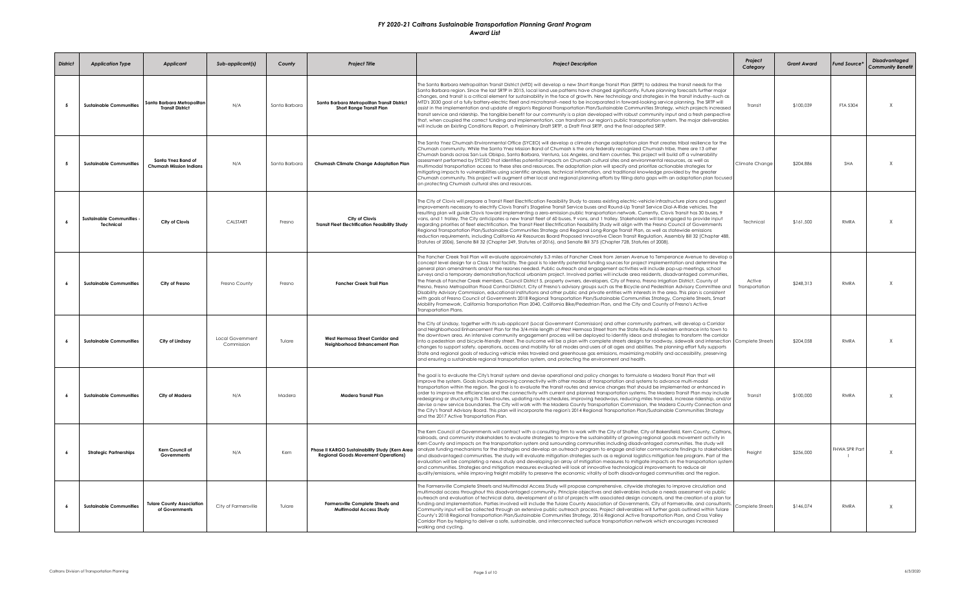| <b>District</b> | <b>Application Type</b>                     | <b>Applicant</b>                                      | Sub-applicant(s)               | County        | <b>Project Title</b>                                                                         | <b>Project Description</b>                                                                                                                                                                                                                                                                                                                                                                                                                                                                                                                                                                                                                                                                                                                                                                                                                                                                                                                                                                                                                                                                                                                                                                                                                                                                                                                            | Project<br>Category      | <b>Grant Award</b> | <b>Fund Source</b> | <b>Disadvantaged</b><br><b>Community Benefit</b> |
|-----------------|---------------------------------------------|-------------------------------------------------------|--------------------------------|---------------|----------------------------------------------------------------------------------------------|-------------------------------------------------------------------------------------------------------------------------------------------------------------------------------------------------------------------------------------------------------------------------------------------------------------------------------------------------------------------------------------------------------------------------------------------------------------------------------------------------------------------------------------------------------------------------------------------------------------------------------------------------------------------------------------------------------------------------------------------------------------------------------------------------------------------------------------------------------------------------------------------------------------------------------------------------------------------------------------------------------------------------------------------------------------------------------------------------------------------------------------------------------------------------------------------------------------------------------------------------------------------------------------------------------------------------------------------------------|--------------------------|--------------------|--------------------|--------------------------------------------------|
| - 5             | <b>Sustainable Communities</b>              | Santa Barbara Metropolitar<br><b>Transit District</b> | N/A                            | Santa Barbara | Santa Barbara Metropolitan Transit District<br>Short Range Transit Plan                      | The Santa Barbara Metropolitan Transit District (MTD) will develop a new Short Range Transit Plan (SRTP) to address the transit needs for the<br>Santa Barbara reaion, Since the last SRTP in 2015, local land use patterns have changed significantly, Future planning forecasts further major<br>changes, and transit is a critical element for sustainability in the face of growth. New technology and strategies in the transit industry–such as<br>MTD's 2030 goal of a fully battery-electric fleet and microtransit--need to be incorporated in forward-looking service planning. The SRTP will<br>assist in the implementation and update of region's Regional Transportation Plan/Sustainable Communities Strategy, which projects increased<br>transit service and ridership. The tangible benefit for our community is a plan developed with robust community input and a fresh perspective<br>that, when coupled the correct funding and implementation, can transform our region's public transportation system. The major deliverables<br>will include an Existing Conditions Report, a Preliminary Draft SRTP, a Draft Final SRTP, and the final adopted SRTP.                                                                                                                                                                        | Transit                  | \$100,039          | FTA 5304           | X                                                |
| -5              | <b>Sustainable Communities</b>              | Santa Ynez Band of<br>Chumash Mission Indians         | N/A                            | Santa Barbara | Chumash Climate Change Adaptation Plan                                                       | The Santa Ynez Chumash Environmental Office (SYCEO) will develop a climate change adaptation plan that creates tribal resilience for the<br>Chumash community. While the Santa Ynez Mission Band of Chumash is the only federally recoanized Chumash tribe, there are 13 other<br>Chumash bands across San Luis Obispo, Santa Barbara, Ventura, Los Angeles, and Kem counties. This project will build off a vulnerability<br>assessment performed by SYCEO that identifies potential impacts on Chumash cultural sites and environmental resources, as well as<br>nultimodal transportation access to these sites and resources. The adaptation plan will specify and prioritize actionable strategies for<br>mitigating impacts to vulnerabilities using scientific analyses, technical information, and traditional knowledge provided by the greater<br>Chumash community. This project will augment other local and regional planning efforts by filling data gaps with an adaptation plan focused<br>on protecting Chumash cultural sites and resources.                                                                                                                                                                                                                                                                                        | Climate Change           | \$204,886          | <b>SHA</b>         | X                                                |
|                 | <b>Sustainable Communities</b><br>Technical | City of Clovis                                        | CALSTART                       | Fresno        | City of Clovis<br><b>Transit Fleet Electrification Feasibility Study</b>                     | The City of Clovis will prepare a Transit Fleet Electrification Feasibility Study to assess existing electric-vehicle infrastructure plans and suggest<br>improvements necessary to electrify Clovis Transit's Stageline Transit Service buses and Round-Up Transit Service Dial-A-Ride vehicles. The<br>resulting plan will guide Clovis toward implementing a zero-emission public transportation network. Currently, Clovis Transit has 30 buses, 9<br>vans, and 1 trolley. The City anticipates a new transit fleet of 60 buses, 9 vans, and 1 trolley. Stakeholders will be engaged to provide input<br>regarding priorities of fleet electrification. The Transit Fleet Electrification Feasibility Study will align with the Fresno Council of Governments<br>Regional Transportation Plan/Sustainable Communities Strategy and Regional Long-Range Transit Plan, as well as statewide emissions<br>reduction requirements, including California Air Resources Board Proposed Innovative Clean Transit Regulation, Assembly Bill 32 (Chapter 488,<br>Statutes of 2006), Senate Bill 32 (Chapter 249, Statutes of 2016), and Senate Bill 375 (Chapter 728, Statutes of 2008).                                                                                                                                                                   | Technical                | \$161,500          | RMRA               | X                                                |
|                 | <b>Sustainable Communities</b>              | City of Fresno                                        | Fresno County                  | Fresno        | <b>Fancher Creek Trail Plan</b>                                                              | The Fancher Creek Trail Plan will evaluate approximately 5.3 miles of Fancher Creek from Jensen Avenue to Temperance Avenue to develop a<br>concept level design for a Class I trail facility. The goal is to identify potential funding sources for project implementation and determine the<br>general plan amendments and/or the rezones needed. Public outreach and engagement activities will include pop-up meetings, school<br>surveys and a temporary demonstration/tactical urbanism project. Involved parties will include area residents, disadvantaged communities,<br>the Friends of Fancher Creek members, Council District 5, property owners, developers, City of Fresno, Fresno Irrigation District, County of<br>Fresno, Fresno Metropolitan Flood Control District, City of Fresno's advisory groups such as the Bicycle and Pedestrian Advisory Committee and  <br>Disability Advisory Commission, educational institutions and other public and private entities with interests in the area. This plan is consistent<br>with goals of Fresno Council of Governments 2018 Regional Transportation Plan/Sustainable Communities Strategy, Complete Streets, Smart<br>Mobility Framework, California Transportation Plan 2040, California Bike/Pedestrian Plan, and the City and County of Fresno's Active<br>Transportation Plans. | Active<br>Transportation | \$248,313          | RMRA               | X                                                |
| -6              | <b>Sustainable Communities</b>              | City of Lindsay                                       | Local Government<br>Commission | Tulare        | West Hermosa Street Corridor and<br>Neighborhood Enhancement Plan                            | The City of Lindsay, together with its sub-applicant (Local Government Commission) and other community partners, will develop a Corridor<br>and Neighborhood Enhancement Plan for the 3/4-mile length of West Hermosa Street from the State Route 65 western entrance into town to<br>the downtown area. An intensive community engagement process will be deployed to identify ideas and strategies to transform the corridor<br>nto a pedestrian and bicycle-friendly street. The outcome will be a plan with complete streets designs for roadway, sidewalk and intersection Complete Streets<br>changes to support safety, operations, access and mobility for all modes and users of all ages and abilities. The planning effort fully supports<br>State and regional goals of reducing vehicle miles traveled and greenhouse gas emissions, maximizing mobility and accessibility, preserving<br>and ensuring a sustainable regional transportation system, and protecting the environment and health.                                                                                                                                                                                                                                                                                                                                          |                          | \$204,058          | RMRA               | $\chi$                                           |
| $\overline{a}$  | <b>Sustainable Communities</b>              | City of Madera                                        | N/A                            | Madera        | Madera Transit Plan                                                                          | The goal is to evaluate the City's transit system and devise operational and policy changes to formulate a Madera Transit Plan that will<br>improve the system. Goals include improving connectivity with other modes of transportation and systems to advance multi-modal<br>transportation within the region. The goal is to evaluate the transit routes and service changes that should be implemented or enhanced in<br>order to improve the efficiencies and the connectivity with current and planned transportation systems. The Madera Transit Plan may include<br>redesigning or structuring its 3 fixed routes, updating route schedules, improving headways, reducing miles traveled, increase ridership, and/or<br>devise a new service boundaries. The City will work with the Madera County Transportation Commission, the Madera County Connection and<br>the City's Transit Advisory Board. This plan will incorporate the region's 2014 Regional Transportation Plan/Sustainable Communities Strategy<br>and the 2017 Active Transportation Plan.                                                                                                                                                                                                                                                                                    | Transit                  | \$100,000          | <b>RMRA</b>        | X                                                |
|                 | <b>Strategic Partnerships</b>               | Kern Council of<br>Governments                        | N/A                            | Kern          | Phase II KARGO Sustainability Study (Kern Area<br><b>Regional Goods Movement Operations)</b> | The Kern Council of Governments will contract with a consulting firm to work with the City of Shafter, City of Bakersfield, Kern County, Caltrans,<br>railroads, and community stakeholders to evaluate strategies to improve the sustainability of growing regional goods movement activity in<br>Kern County and impacts on the transportation system and surrounding communities including disadvantaged communities. The study will<br>analyze funding mechanisms for the strategies and develop an outreach program to engage and later communicate findings to stakeholders<br>and disadvantaged communities. The study will evaluate mitigation strategies such as a regional logistics mitigation fee program. Part of the<br>evaluation will be completing a nexus study and developing an array of mitigation measures to mitigate impacts on the transportation system<br>and communities. Strategies and mitigation measures evaluated will look at innovative technological improvements to reduce air<br>quality/emissions, while improving freight mobility to preserve the economic vitality of both disadvantaged communities and the region.                                                                                                                                                                                        | Freight                  | \$256,000          | FHWA SPR Part      | X                                                |
|                 | <b>Sustainable Communities</b>              | <b>Tulare County Association</b><br>of Governments    | City of Farmersville           | Tulare        | <b>Farmersville Complete Streets and</b><br><b>Multimodal Access Study</b>                   | The Farmersville Complete Streets and Multimodal Access Study will propose comprehensive, citywide strategies to improve circulation and<br>multimodal access throughout this disadvantaged community. Principle objectives and deliverables include a needs assessment via public<br>outreach and evaluation of technical data, development of a list of projects with associated design concepts, and the creation of a plan for<br>funding and implementation. Parties involved will include the Tulare County Association of Governments, City of Farmersville, and consultants.<br>The complete Streets Complete Streets<br>Community input will be collected through an extensive public outreach process. Project deliverables will further goals outlined within Tulare<br>County's 2018 Regional Transportation Plan/Sustainable Communities Strategy, 2016 Regional Active Transportation Plan, and Cross Valley<br>Corridor Plan by helping to deliver a safe, sustainable, and interconnected surface transportation network which encourages increased<br>walking and cycling.                                                                                                                                                                                                                                                           |                          | \$146,074          | RMRA               | X                                                |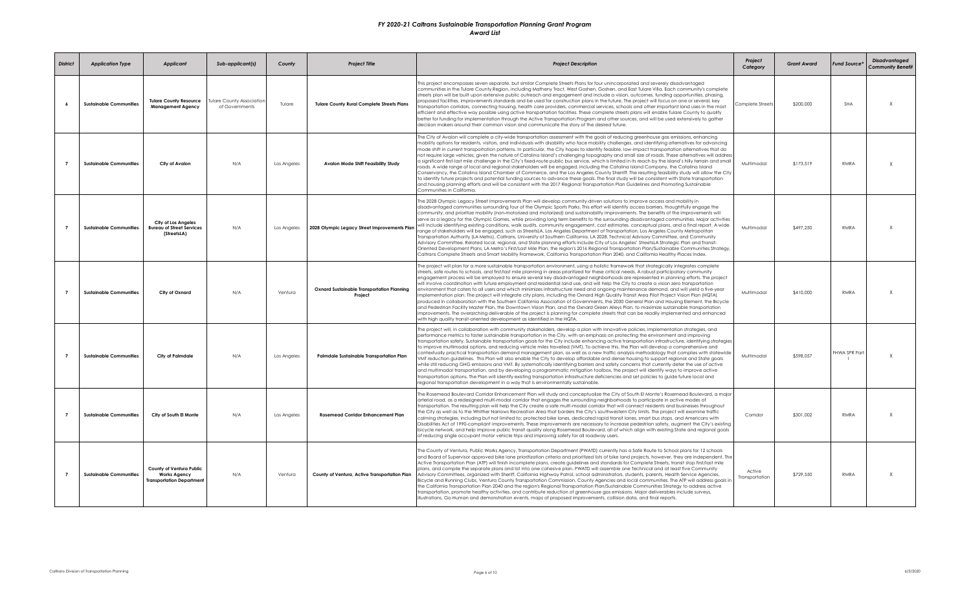| <b>District</b> | <b>Application Type</b>        | <b>Applicant</b>                                                                    | Sub-applicant(s)                                   | County      | <b>Project Title</b>                                  | <b>Project Description</b>                                                                                                                                                                                                                                                                                                                                                                                                                                                                                                                                                                                                                                                                                                                                                                                                                                                                                                                                                                                                                                                                                                                                                                                                                                                                                                                                                                                                             | Project<br>Category      | <b>Grant Award</b> | <b>Fund Source</b> | <b>Disadvantaged</b><br><b>Community Benefit</b> |
|-----------------|--------------------------------|-------------------------------------------------------------------------------------|----------------------------------------------------|-------------|-------------------------------------------------------|----------------------------------------------------------------------------------------------------------------------------------------------------------------------------------------------------------------------------------------------------------------------------------------------------------------------------------------------------------------------------------------------------------------------------------------------------------------------------------------------------------------------------------------------------------------------------------------------------------------------------------------------------------------------------------------------------------------------------------------------------------------------------------------------------------------------------------------------------------------------------------------------------------------------------------------------------------------------------------------------------------------------------------------------------------------------------------------------------------------------------------------------------------------------------------------------------------------------------------------------------------------------------------------------------------------------------------------------------------------------------------------------------------------------------------------|--------------------------|--------------------|--------------------|--------------------------------------------------|
|                 | <b>Sustainable Communities</b> | <b>Tulare County Resource</b><br><b>Management Agency</b>                           | <b>Tulare County Association</b><br>of Governments | Tulare      | <b>Tulare County Rural Complete Streets Plans</b>     | This project encompasses seven separate, but similar Complete Streets Plans for four unincorporated and severely disadvantaged<br>communities in the Tulare County Region, including Matheny Tract, West Goshen, Goshen, and East Tulare Villa. Each community's complete<br>streets plan will be built upon extensive public outreach and engagement and include a vision, outcomes, funding opportunities, phasing,<br>proposed facilities, improvements standards and be used for construction plans in the future. The project will focus on one or several, key<br>transportation corridors, connecting housing, health care providers, commercial services, schools and other important land uses in the most<br>efficient and effective way possible using active transportation facilities. These complete streets plans will enable Tulare County to qualify<br>better for funding for implementation through the Active Transportation Program and other sources, and will be used extensively to gather<br>decision makers around their common vision and communicate the story of the desired future.                                                                                                                                                                                                                                                                                                                      | Complete Streets         | \$200,000          | SHA                | X                                                |
|                 | <b>Sustainable Communities</b> | City of Avalon                                                                      | N/A                                                | Los Angeles | <b>Avalon Mode Shift Feasibility Study</b>            | The City of Avalon will complete a city-wide transportation assessment with the goals of reducing greenhouse gas emissions, enhancing<br>mobility options for residents, visitors, and individuals with disability who face mobility challenges, and identifying alternatives for advancing<br>mode shift in current transportation patterns. In particular, the City hopes to identify feasible, low-impact transportation alternatives that do<br>not require large vehicles, given the nature of Catalina Island's challenging topography and small size of roads. These alternatives will address<br>a significant first-last mile challenge in the City's fixed-route public bus service, which is limited in its reach by the island's hilly terrain and small<br>oads. A wide range of local and regional stakeholders will be engaged, including the Catalina Island Company, the Catalina Island<br>Conservancy, the Catalina Island Chamber of Commerce, and the Los Angeles County Sherriff. The resulting feasibility study will allow the City<br>to identify future projects and potential funding sources to advance these goals. The final study will be consistent with State transportation<br>and housing planning efforts and will be consistent with the 2017 Regional Transportation Plan Guidelines and Promoting Sustainable<br>Communities in California.                                                     | Multimodal               | \$173,519          | RMRA               | X                                                |
| $\overline{7}$  | <b>Sustainable Communities</b> | <b>City of Los Angeles</b><br><b>Bureau of Street Services</b><br>(StreetsLA)       | N/A                                                | Los Angeles | 2028 Olympic Legacy Street Improvements Plan          | The 2028 Olympic Legacy Street Improvements Plan will develop community-driven solutions to improve access and mobility in<br>disadvantaged communities surrounding four of the Olympic Sports Parks. This effort will identify access barriers, thoughtfully engage the<br>community, and prioritize mobility (non-motorized and motorized) and sustainability improvements. The benefits of the improvements will<br>serve as a legacy for the Olympic Games, while providing long term benefits to the surrounding disadvantaged communities. Major activities<br>will include identifying existing conditions, walk audits, community engagement, cost estimates, conceptual plans, and a final report. A wide<br>ange of stakeholders will be engaged, such as StreetsLA, Los Angeles Department of Transportation, Los Angeles County Metropolitan<br>Transportation Authority (LA Metro), Caltrans, University of Southern California, LA 2028, Technical Advisory Committee, and Community<br>Advisory Committee, Related local, regional, and State planning efforts include City of Los Angeles' StreetsLA Strategic Plan and Transit-<br>Oriented Development Plans, LA Metro's First/Last Mile Plan, the region's 2016 Regional Transportation Plan/Sustainable Communities Strategy,<br>Caltrans Complete Streets and Smart Mobility Framework, California Transportation Plan 2040, and California Healthy Places Index. | Multimodal               | \$497.250          | <b>RMRA</b>        | X                                                |
|                 | <b>Sustainable Communities</b> | City of Oxnard                                                                      | N/A                                                | Ventura     | Oxnard Sustainable Transportation Planning<br>Project | The project will plan for a more sustainable transportation environment, using a holistic framework that strategically integrates complete<br>streets, safe routes to schools, and first/last mile planning in areas prioritized for these critical needs. A robust participatory community<br>engagement process will be employed to ensure several key disadvantaged neighborhoods are represented in planning efforts. The project<br>will involve coordination with future employment and residential land use, and will help the City to create a vision zero transportation<br>environment that caters to all users and which minimizes infrastructure need and ongoing maintenance demand, and will yield a five-year<br>implementation plan. The project will integrate city plans, including the Oxnard High Quality Transit Area Pilot Project Vision Plan (HQTA)<br>produced in collaboration with the Southern California Association of Governments, the 2030 General Plan and Housing Element, the Bicycle<br>and Pedestrian Facility Master Plan, the Downtown Vision Plan, and the Oxnard Green Alleys Plan, to maximize sustainable transportation<br>improvements. The overarching deliverable of the project is planning for complete streets that can be readily implemented and enhanced<br>with high quality transit-oriented development as identified in the HQTA.                                             | Multimodal               | \$410,000          | RMRA               | X                                                |
| $\overline{7}$  | <b>Sustainable Communities</b> | City of Palmdale                                                                    | N/A                                                | Los Angeles | Palmdale Sustainable Transportation Plan              | The project will, in collaboration with community stakeholders, develop a plan with innovative policies, implementation strategies, and<br>performance metrics to foster sustainable transportation in the City, with an emphasis on protecting the environment and improving<br>transportation safety. Sustainable transportation goals for the City include enhancing active transportation infrastructure, identifying strategies<br>to improve multimodal options, and reducing vehicle miles travelled (VMT). To achieve this, the Plan will develop a comprehensive and<br>contextually practical transportation demand management plan, as well as a new traffic analysis methodology that complies with statewide<br>VMT reduction guidelines. This Plan will also enable the City to develop affordable and dense housing to support regional and State goals<br>while still reducing GHG emissions and VMT. By systematically identifying barriers and safety concerns that currently deter the use of active<br>and multimodal transportation, and by developing a programmatic mitigation toolbox, the project will identify ways to improve active<br>transportation options. The Plan will identify existing transportation infrastructure deficiencies and set policies to guide future local and<br>regional transportation development in a way that is environmentally sustainable.                                  | Multimodal               | \$598.057          | FHWA SPR Part      | X                                                |
| $\overline{7}$  | <b>Sustainable Communities</b> | City of South El Monte                                                              | N/A                                                | Los Angeles | <b>Rosemead Corridor Enhancement Plan</b>             | The Rosemead Boulevard Corridor Enhancement Plan will study and conceptualize the City of South El Monte's Rosemead Boulevard, a major<br>arterial road, as a redesigned multi-modal corridor that engages the surrounding neighborhoods to participate in active modes of<br>transportation. The resulting plan will help the City create a safe multi-modal corridor that will connect residents and businesses throughout<br>the City as well as to the Whittier Narrows Recreation Area that borders the City's southwestern City limits. The project will examine traffic<br>calming strategies, including but not limited to: protected bike lanes, dedicated rapid transit lanes, smart bus stops, and Americans with<br>Disabilities Act of 1990-compliant improvements. These improvements are necessary to increase pedestrian safety, augment the City's existing<br>bicycle network, and help improve public transit quality along Rosemead Boulevard, all of which align with existing State and regional goals<br>of reducing single occupant motor vehicle trips and improving safety for all roadway users.                                                                                                                                                                                                                                                                                                            | Corridor                 | \$301,002          | RMRA               | X                                                |
|                 | <b>Sustainable Communities</b> | County of Ventura Public<br><b>Works Agency</b><br><b>Transportation Department</b> | N/A                                                | Ventura     | County of Ventura, Active Transportation Plan         | The County of Ventura, Public Works Agency, Transportation Department (PWATD) currently has a Safe Route to School plans for 12 schools<br>and Board of Supervisor approved bike lane prioritization criteria and prioritized lists of bike land projects, however, they are independent. The<br>Active Transportation Plan (ATP) will finish incomplete plans, create guidelines and standards for Complete Streets, transit stop first/last mile<br>plans, and compile the separate plans and list into one cohesive plan. PWATD will assemble one Technical and at least five Community<br>Advisory Committees, organized with Sheriff, California Highway Patrol, school administrators, students, parents, Health Service Agencies,<br>Bicycle and Running Clubs, Ventura County Transportation Commission, County Agencies and local communities. The ATP will address goals in<br>the California Transportation Plan 2040 and the region's Regional Transportation Plan/Sustainable Communities Strategy to address active<br>transportation, promote healthy activities, and contribute reduction of greenhouse gas emissions. Major deliverables include surveys,<br>illustrations, Go-Human and demonstration events, maps of proposed improvements, collision data, and final reports.                                                                                                                                      | Active<br>Transportation | \$729,550          | RMRA               | X                                                |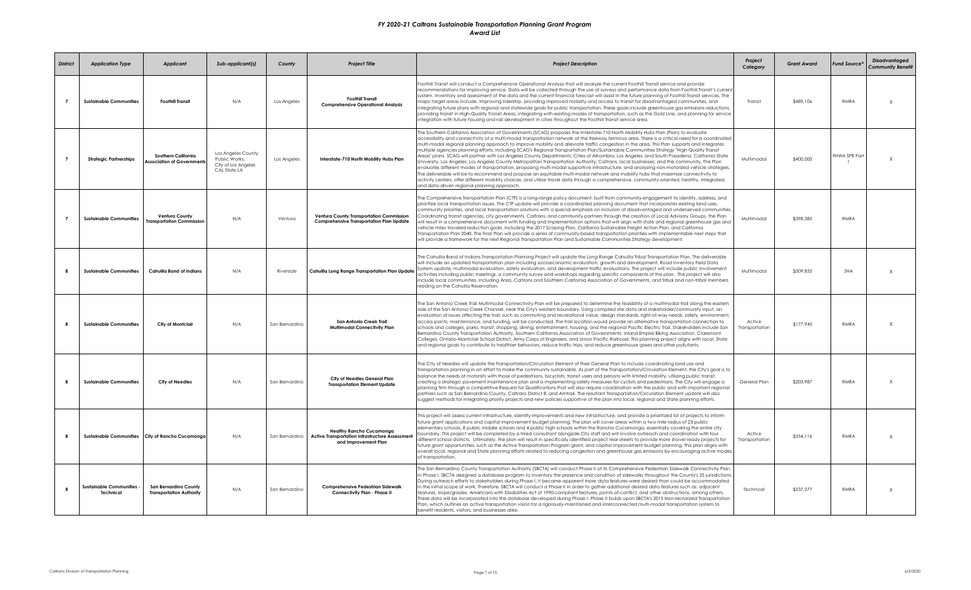| <b>District</b> | <b>Application Type</b>                     | <b>Applicant</b>                                                | Sub-applicant(s)                                                           | County         | <b>Project Title</b>                                                                                              | <b>Project Description</b>                                                                                                                                                                                                                                                                                                                                                                                                                                                                                                                                                                                                                                                                                                                                                                                                                                                                                                                                                                                                                                                                                                                                                                                                                                                                                                                                       | Project<br>Category      | <b>Grant Award</b> | Fund Source*  | <b>Disadvantaged</b><br><b>Community Benefit</b> |
|-----------------|---------------------------------------------|-----------------------------------------------------------------|----------------------------------------------------------------------------|----------------|-------------------------------------------------------------------------------------------------------------------|------------------------------------------------------------------------------------------------------------------------------------------------------------------------------------------------------------------------------------------------------------------------------------------------------------------------------------------------------------------------------------------------------------------------------------------------------------------------------------------------------------------------------------------------------------------------------------------------------------------------------------------------------------------------------------------------------------------------------------------------------------------------------------------------------------------------------------------------------------------------------------------------------------------------------------------------------------------------------------------------------------------------------------------------------------------------------------------------------------------------------------------------------------------------------------------------------------------------------------------------------------------------------------------------------------------------------------------------------------------|--------------------------|--------------------|---------------|--------------------------------------------------|
| $\overline{7}$  | <b>Sustainable Communities</b>              | <b>Foothill Transit</b>                                         | N/A                                                                        | Los Angeles    | <b>Foothill Transit</b><br><b>Comprehensive Operational Analysis</b>                                              | Foothill Transit will conduct a Comprehensive Operational Analysis that will analyze the current Foothill Transit service and provide<br>recommendations for improving service. Data will be collected through the use of surveys and performance data from Foothill Transit's current<br>system. Inventory and assessment of the data and the current financial forecast will assist in the future planning of Foothill Transit services. The<br>major target areas include, improving ridership, providing improved mobility and access to transit for disadvantaged communities, and<br>integrating future plans with regional and statewide goals for public transportation. These goals include greenhouse gas emissions reductions,<br>providing transit in High-Quality Transit Areas, integrating with existing modes of transportation, such as the Gold Line, and planning for service<br>integration with future housing and rail development in cities throughout the Foothill Transit service area.                                                                                                                                                                                                                                                                                                                                                 | Transit                  | \$489.106          | <b>RMRA</b>   | X                                                |
| $\overline{7}$  | <b>Strategic Partnerships</b>               | Southern California<br><b>Association of Governments</b>        | Los Angeles County<br>Public Works;<br>City of Los Angeles<br>CAL State LA | Los Angeles    | Interstate-710 North Mobility Hubs Plan                                                                           | The Southern California Association of Governments (SCAG) proposes the Interstate-710 North Mobility Hubs Plan (Plan) to evaluate<br>accessibility and connectivity of a multi-modal transportation network at the freeway terminus area. There is a critical need for a coordinated<br>multi-modal regional planning approach to improve mobility and alleviate traffic congestion in the area. This Plan supports and integrates<br>multiple agencies planning efforts, including SCAG's Regional Transportation Plan/Sustainable Communities Strategy "High-Quality Transit<br>Areas" plans. SCAG will partner with Los Angeles County Departments; Cities of Alhambra, Los Angeles, and South Pasadena; California State<br>University, Los Angeles; Los Angeles County Metropolitan Transportation Authority; Caltrans, local businesses; and the community. The Plan<br>evaluates different modes of transportation, proposing multi-modal supportive infrastructure, and analyzing non-motorized vehicle strategies.<br>The deliverable will be to recommend and propose an equitable multi-modal network and mobility hubs that maximize connectivity to<br>activity centers, offer different mobility choices, and utilize travel data through a comprehensive, community-oriented, healthy, integrated,<br>and data-driven regional planning approach. | Multimodal               | \$400,000          | FHWA SPR Part | X                                                |
|                 | <b>Sustainable Communities</b>              | <b>Ventura County</b><br><b>Iransportation Commission</b>       | N/A                                                                        | Ventura        | Ventura County Transportation Commission<br><b>Comprehensive Transportation Plan Update</b>                       | The Comprehensive Transportation Plan (CTP) is a long-range policy document, built from community-engagement to identify, address, and<br>prioritize local transportation issues. The CTP update will provide a coordinated planning document that incorporates existing land uses,<br>community priorities, and local transportation solutions with a special emphasis on inclusion of disadvantaged and underserved communities.<br>Coordinating transit agencies, city governments, Caltrans, and community partners through the creation of Local Advisory Groups, the Plan<br>will result in a comprehensive document with funding and implementation options that will align with state and regional greenhouse gas and<br>vehicle miles traveled reduction goals, including the 2017 Scoping Plan, California Sustainable Freight Action Plan, and California<br>Transportation Plan 2040. The final Plan will provide a series of community-based transportation priorities with implementable next steps that<br>will provide a framework for the next Regional Transportation Plan and Sustainable Communities Strategy development.                                                                                                                                                                                                                   | Multimodal               | \$398,385          | <b>RMRA</b>   |                                                  |
|                 | <b>Sustainable Communities</b>              | <b>Cahuilla Band of Indians</b>                                 | N/A                                                                        | Riverside      | Cahuilla Long Range Transportation Plan Update                                                                    | The Cahuilla Band of Indians Transportation Planning Project will update the Long Range Cahuilla Tribal Transportation Plan. The deliverable<br>will include an updated transportation plan including socioeconomic evaluation, growth and development, Road Inventory Field Data<br>System update, multimodal evaluation, safety evaluation, and development traffic evaluations. The project will include public involvement<br>activities including public meetings, a community survey and workshops regarding specific components of the plan. The project will also<br>include local communities, including Anza, Caltrans and Southern California Association of Governments, and tribal and non-tribal members<br>residing on the Cahuilla Reservation.                                                                                                                                                                                                                                                                                                                                                                                                                                                                                                                                                                                                  | Multimodal               | \$309,855          | SHA           | $\mathsf{x}$                                     |
|                 | <b>Sustainable Communities</b>              | City of Montclair                                               | N/A                                                                        | San Bernardino | San Antonio Creek Trail<br><b>Multimodal Connectivity Plan</b>                                                    | The San Antonio Creek Trail Multimodal Connectivity Plan will be prepared to determine the feasibility of a multimodal trail along the eastern<br>side of the San Antonio Creek Channel, near the City's western boundary. Using compiled site data and stakeholder/community input, an<br>evaluation of issues affecting the trail, such as commuting and recreational value, design standards, right-of-way needs, safety, environment,<br>access points, maintenance, and funding, will be conducted. The trail location would provide an alternative transportation connection to<br>schools and colleges, parks, transit, shopping, dining, entertainment, housing, and the regional Pacific Electric Trail. Stakeholders include San<br>Bernardino County Transportation Authority, Southern California Association of Governments, Inland Empire Biking Association, Claremont<br>Colleges, Ontario-Montclair School District, Army Corps of Engineers, and Union Pacific Railroad. This planning project aligns with local, State<br>and regional goals to contribute to healthier behaviors, reduce traffic trips, and reduce greenhouse gases and other pollutants.                                                                                                                                                                                    | Active<br>Transportation | \$177.945          | <b>RMRA</b>   | $\times$                                         |
| R               | <b>Sustainable Communities</b>              | <b>City of Needles</b>                                          | N/A                                                                        | San Bernardino | City of Needles General Plan<br><b>Transportation Element Update</b>                                              | The City of Needles will update the Transportation/Circulation Element of their General Plan to include coordinating land use and<br>transportation planning in an effort to make the community sustainable. As part of the Transportation/Circulation Element, the City's goal is to<br>balance the needs of motorists with those of pedestrians, bicyclists, transit users and persons with limited mobility, utilizing public transit,<br>creating a strategic pavement maintenance plan and a implementing safety measures for cyclists and pedestrians. The City will engage a<br>planning firm through a competitive Request for Qualifications that will also require coordination with the public and with important regional<br>partners such as San Bernardino County, Caltrans District 8, and Amtrak. The resultant Transportation/Circulation Element update will also<br>suggest methods for integrating priority projects and new policies supportive of the plan into local, regional and State planning efforts.                                                                                                                                                                                                                                                                                                                                | General Plan             | \$203,987          | RMRA          | $\mathsf X$                                      |
| $\mathbf{R}$    |                                             | Sustainable Communities City of Rancho Cucamonaa                | N/A                                                                        | San Bernardino | <b>Healthy Rancho Cucamonga</b><br><b>Active Transportation Infrastructure Assessment</b><br>and Improvement Plan | This project will assess current infrastructure, identify improvements and new infrastructure, and provide a prioritized list of projects to inform<br>future grant applications and capital improvement budget planning. The plan will cover areas within a two mile radius of 23 public<br>elementary schools, 8 public middle schools and 4 public high schools within the Rancho Cucamonga, essentially covering the entire city<br>boundary. This project will be completed by a hired consultant alongside City staff and will involve outreach and coordination with four<br>different school districts. Ultimately, the plan will result in specifically identified project tear sheets to provide more shovel ready projects for<br>future grant opportunities, such as the Active Transportation Program grant, and capital improvement budget planning. This plan aligns with<br>overall local, regional and State planning efforts related to reducing congestion and greenhouse gas emissions by encouraging active modes<br>of transportation.                                                                                                                                                                                                                                                                                                     | Active<br>Transportation | \$354.116          | <b>RMRA</b>   | X                                                |
| $\mathbf{R}$    | <b>Sustainable Communities</b><br>Technical | <b>San Bernardino County</b><br><b>Transportation Authority</b> | N/A                                                                        | San Bernardino | Comprehensive Pedestrian Sidewalk<br>Connectivity Plan - Phase II                                                 | The San Bernardino County Transportation Authority (SBCTA) will conduct Phase II of its Comprehensive Pedestrian Sidewalk Connectivity Plan.<br>In Phase I, SBCTA designed a database program to inventory the presence and condition of sidewalks throughout the County's 25 jurisdictions.<br>During outreach efforts to stakeholders during Phase I, it became apparent more data features were desired than could be accommodated<br>in the initial scope of work. Therefore, SBCTA will conduct a Phase II in order to gather additional desired data features such as: adjacent<br>features, slope/grades, Americans with Disabilities Act of 1990-compliant features, points-of-conflict, and other obstructions, among others.<br>These data will be incorporated into the database developed during Phase I. Phase II builds upon SBCTA's 2015 Non-Motorized Transportation<br>Plan, which outlines an active transportation vision for a rigorously-maintained and interconnected multi-modal transportation system to<br>benefit residents, visitors, and businesses alike.                                                                                                                                                                                                                                                                           | Technical                | \$537,377          | <b>RMRA</b>   | $\chi$                                           |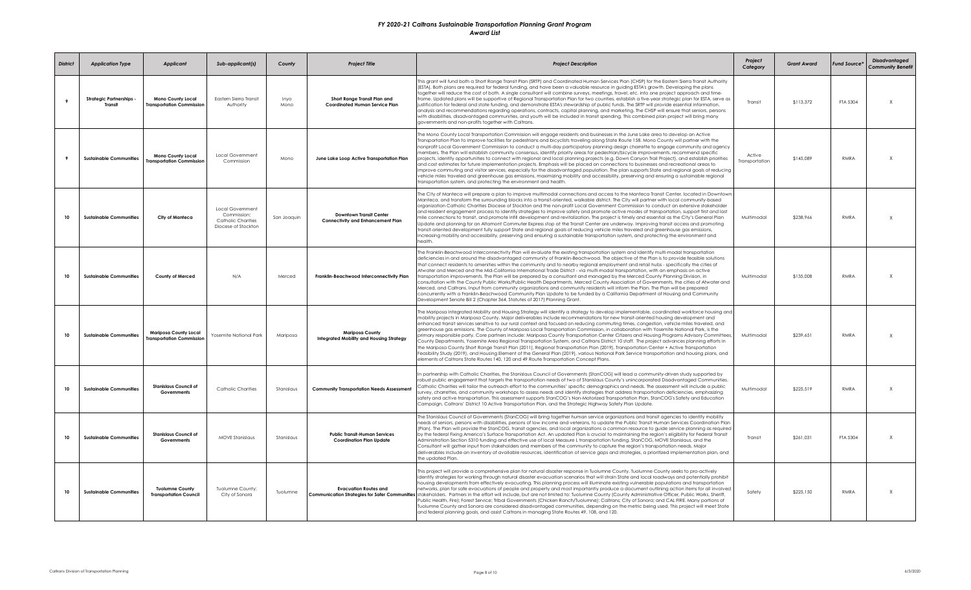| <b>District</b> | <b>Application Type</b>          | <b>Applicant</b>                                         | Sub-applicant(s)                                                                    | County       | <b>Project Title</b>                                                       | <b>Project Description</b>                                                                                                                                                                                                                                                                                                                                                                                                                                                                                                                                                                                                                                                                                                                                                                                                                                                                                                                                                                                                                                                                                                                                                                                                                             | Project<br>Category      | <b>Grant Award</b> | Fund Source* | <b>Disadvantaged</b><br><b>Community Benefit</b> |
|-----------------|----------------------------------|----------------------------------------------------------|-------------------------------------------------------------------------------------|--------------|----------------------------------------------------------------------------|--------------------------------------------------------------------------------------------------------------------------------------------------------------------------------------------------------------------------------------------------------------------------------------------------------------------------------------------------------------------------------------------------------------------------------------------------------------------------------------------------------------------------------------------------------------------------------------------------------------------------------------------------------------------------------------------------------------------------------------------------------------------------------------------------------------------------------------------------------------------------------------------------------------------------------------------------------------------------------------------------------------------------------------------------------------------------------------------------------------------------------------------------------------------------------------------------------------------------------------------------------|--------------------------|--------------------|--------------|--------------------------------------------------|
| 9               | Strategic Partnerships<br>Transi | <b>Mono County Local</b><br>ransportation Commission     | Eastern Sierra Transit<br>Authority                                                 | Inyo<br>Mono | Short Range Transit Plan and<br>Coordinated Human Service Plan             | This grant will fund both a Short Range Transit Plan (SRTP) and Coordinated Human Services Plan (CHSP) for the Eastern Sierra Transit Authority<br>(ESTA). Both plans are required for federal funding, and have been a valuable resource in guiding ESTA's growth. Developing the plans<br>together will reduce the cost of both. A single consultant will combine surveys, meetings, travel, etc. into one project approach and time-<br>frame. Updated plans will be supportive of Regional Transportation Plan for two counties, establish a five-year strategic plan for ESTA, serve as<br>justification for federal and state funding, and demonstrate ESTA's stewardship of public funds. The SRTP will provide essential information,<br>analysis and recommendations regarding operations, contracts, capital planning, and marketing. The CHSP will ensure that seniors, persons<br>with disabilities, disadvantaged communities, and youth will be included in transit spending. This combined plan project will bring many<br>governments and non-profits together with Caltrans.                                                                                                                                                          | Transit                  | \$113,372          | FTA 5304     | $\mathsf{X}$                                     |
|                 | <b>Sustainable Communities</b>   | <b>Mono County Local</b><br>ransportation Commission     | Local Government<br>Commission                                                      | Mono         | June Lake Loop Active Transportation Plan                                  | The Mono County Local Transportation Commission will engage residents and businesses in the June Lake area to develop an Active<br>Transportation Plan to improve facilities for pedestrians and bicyclists traveling along State Route 158. Mono County will partner with the<br>nonprofit Local Government Commission to conduct a multi-day participatory planning design charrette to engage community and agency<br>nembers. The Plan will establish community consensus, identify priority areas for pedestrian/bicycle improvements, recommend specific<br>projects, identify opportunities to connect with regional and local planning projects (e.g. Down Canyon Trail Project), and establish priorities<br>and cost estimates for future implementation projects. Emphasis will be placed on connections to businesses and recreational areas to<br>improve commuting and visitor services, especially for the disadvantaged population. The plan supports State and regional goals of reducing<br>vehicle miles traveled and greenhouse gas emissions, maximizing mobility and accessibility, preserving and ensuring a sustainable regional<br>transportation system, and protecting the environment and health.                          | Active<br>Transportation | \$145,089          | RMRA         | $\mathsf{X}$                                     |
| 10              | <b>Sustainable Communities</b>   | City of Manteca                                          | Local Government<br>Commission;<br><b>Catholic Charities</b><br>Diocese of Stockton | San Joaquin  | <b>Downtown Transit Center</b><br><b>Connectivity and Enhancement Plan</b> | The City of Manteca will prepare a plan to improve multimodal connections and access to the Manteca Transit Center, located in Downtown<br>Manteca, and transform the surrounding blocks into a transit-oriented, walkable district. The City will partner with local community-based<br>organization Catholic Charities Diocese of Stockton and the non-profit Local Government Commission to conduct an extensive stakeholder<br>and resident engagement process to identify strategies to improve safety and promote active modes of transportation, support first and last<br>mile connections to transit, and promote infill development and revitalization. The project is timely and essential as the City's General Plan<br>Update and planning for an Altamont Commuter Express stop at the Transit Center are underway. Improving transit access and promoting<br>transit-oriented development fully support State and regional goals of reducing vehicle miles traveled and greenhouse gas emissions,<br>increasing mobility and accessibility, preserving and ensuring a sustainable transportation system, and protecting the environment and<br>health                                                                                   | Multimodal               | \$238,966          | RMRA         | $\mathsf{X}$                                     |
| 10              | <b>Sustainable Communities</b>   | <b>County of Merced</b>                                  | N/A                                                                                 | Merced       | Franklin-Beachwood Interconnectivity Plan                                  | The Franklin-Beachwood Interconnectivity Plan will evaluate the existing transportation system and identify multi-modal transportation<br>deficiencies in and around the disadvantaged community of Franklin-Beachwood. The objective of the Plan is to provide feasible solutions<br>that connect residents to amenities within the community and to nearby regional employment and retail hubs - specifically the cities of<br>Atwater and Merced and the Mid-California International Trade District - via multi-modal transportation, with an emphasis on active<br>transportation improvements. The Plan will be prepared by a consultant and managed by the Merced County Planning Division, in<br>consultation with the County Public Works/Public Health Departments, Merced County Association of Governments, the cities of Atwater and<br>Merced, and Caltrans. Input from community organizations and community residents will inform the Plan. The Plan will be prepared<br>concurrently with a Franklin-Beachwood Community Plan Update to be funded by a California Department of Housing and Community<br>Development Senate Bill 2 (Chapter 364, Statutes of 2017) Planning Grant.                                                    | Multimodal               | \$135,008          | <b>RMRA</b>  | $\times$                                         |
| 10              | <b>Sustainable Communities</b>   | <b>Mariposa County Local</b><br>ransportation Commission | Yosemite National Park                                                              | Mariposa     | <b>Mariposa County</b><br><b>Integrated Mobility and Housing Strategy</b>  | The Mariposa Integrated Mobility and Housing Strategy will identify a strategy to develop implementable, coordinated workforce housing and<br>mobility projects in Mariposa County. Major deliverables include recommendations for new transit-oriented housing development and<br>enhanced transit services sensitive to our rural context and focused on reducing commuting times, congestion, vehicle miles traveled, and<br>greenhouse gas emissions. The County of Mariposa Local Transportation Commission, in collaboration with Yosemite National Park, is the<br>primary responsible party. Core partners include: Mariposa County Transportation Center Citizens and Housing Programs Advisory Committees,<br>County Departments, Yosemite Area Regional Transportation System, and Caltrans District 10 staff. The project advances planning efforts in<br>the Mariposa County Short Range Transit Plan (2011), Regional Transportation Plan (2019), Transportation Center + Active Transportation<br>Feasibility Study (2019), and Housing Element of the General Plan (2019), various National Park Service transportation and housing plans, and<br>lements of Caltrans State Routes 140, 120 and 49 Route Transportation Concept Plans. | Multimodal               | \$239,651          | RMRA         | X                                                |
| 10              | <b>Sustainable Communities</b>   | <b>Stanislaus Council of</b><br>Governments              | <b>Catholic Charities</b>                                                           | Stanislaus   | <b>Community Transportation Needs Assessment</b>                           | n partnership with Catholic Charities, the Stanislaus Council of Governments (StanCOG) will lead a community-driven study supported by<br>robust public engagement that targets the transportation needs of two of Stanislaus County's unincorporated Disadvantaged Communities.<br>Catholic Charities will tailor the outreach effort to the communities' specific demographics and needs. The assessment will include a public<br>survey, charrettes, and community workshops to assess needs and identify strategies that address transportation deficiencies, emphasizing<br>safety and active transportation. This assessment supports StanCOG's Non-Motorized Transportation Plan, StanCOG's Safety and Education<br>Campaign, Caltrans' District 10 Active Transportation Plan, and the Strategic Highway Safety Plan Update.                                                                                                                                                                                                                                                                                                                                                                                                                   | Multimodal               | \$225.519          | RMRA         | $\mathsf{x}$                                     |
| 10              | <b>Sustainable Communities</b>   | <b>Stanislaus Council of</b><br>Governments              | <b>MOVE Stanislaus</b>                                                              | Stanislaus   | <b>Public Transit-Human Services</b><br><b>Coordination Plan Update</b>    | The Stanislaus Council of Governments (StanCOG) will bring together human service organizations and transit agencies to identify mobility<br>needs of seniors, persons with disabilities, persons of low income and veterans, to update the Public Transit Human Services Coordination Plan<br>(Plan). The Plan will provide the StanCOG, transit agencies, and local organizations a common resource to guide service planning as required<br>by the federal Fixing America's Surface Transportation Act. An updated Plan is crucial to maintaining the region's eligibility for Federal Transit<br>Administration Section 5310 funding and effective use of local Measure L transportation funding. StanCOG, MOVE Stanislaus, and the<br>Consultant will gather input from stakeholders and members of the community to capture the region's transportation needs. Major<br>deliverables include an inventory of available resources, identification of service gaps and strategies, a prioritized implementation plan, and<br>the updated Plan.                                                                                                                                                                                                     | Transit                  | \$261,031          | FTA 5304     | $\mathsf{X}$                                     |
| 10              | <b>Sustainable Communities</b>   | <b>Tuolumne County</b><br><b>Transportation Council</b>  | Tuolumne County;<br>City of Sonora                                                  | Tuolumne     | <b>Evacuation Routes and</b>                                               | This project will provide a comprehensive plan for natural disaster response in Tuolumne County. Tuolumne County seeks to pro-actively<br>identify strategies for working through natural disaster evacuation scenarios that will strain State and local roadways and potentially prohibit<br>housing developments from effectively evacuating. This planning process will illuminate existing vulnerable populations and transportation<br>networks, plan for safe evacuations of people and property and most importantly produce a document outlining action items for all involved<br>Communication Strategies for Safer Communities stakeholders. Partners in the effort will include, but are not limited to: Tuolumne County (County Administrative Officer, Public Works, Sheriff,<br>Public Health, Fire); Forest Service; Tribal Governments (Chicken Ranch/Tuolumne); Caltrans; City of Sonora; and CAL FIRE. Many portions of<br>Tuolumne County and Sonora are considered disadvantaged communities, depending on the metric being used. This project will meet State<br>and federal planning goals, and assist Caltrans in managing State Routes 49, 108, and 120.                                                                       | Safety                   | \$225,150          | RMRA         | $\times$                                         |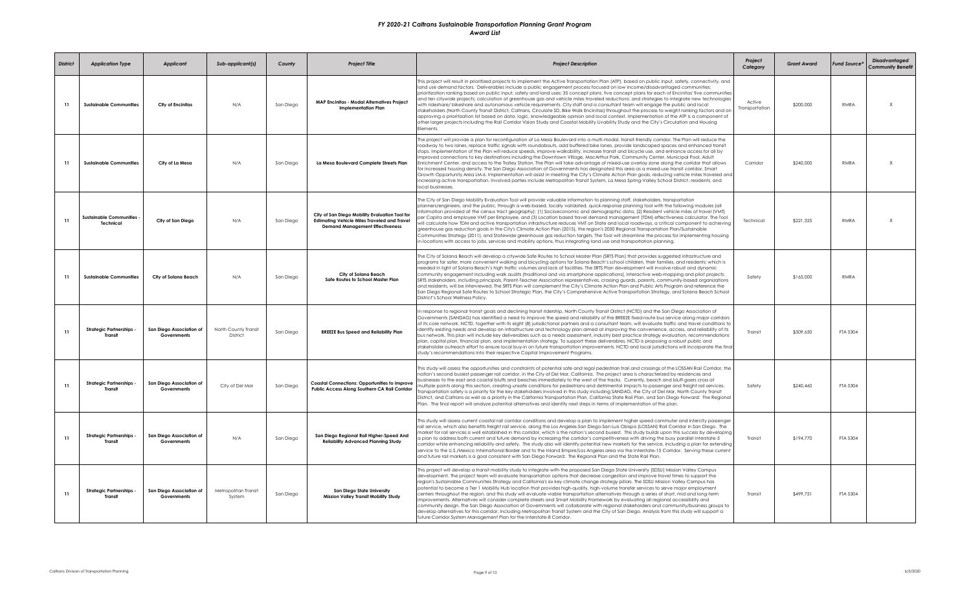| <b>District</b> | <b>Application Type</b>                     | <b>Applicant</b>                        | Sub-applicant(s)                 | County    | <b>Project Title</b>                                                                                                                            | <b>Project Description</b>                                                                                                                                                                                                                                                                                                                                                                                                                                                                                                                                                                                                                                                                                                                                                                                                                                                                                                                                                                                                                                                                                                                                                                                                         | Project<br>Category      | <b>Grant Award</b> | Fund Source* | <b>Disadvantaged</b><br><b>Community Benefit</b> |
|-----------------|---------------------------------------------|-----------------------------------------|----------------------------------|-----------|-------------------------------------------------------------------------------------------------------------------------------------------------|------------------------------------------------------------------------------------------------------------------------------------------------------------------------------------------------------------------------------------------------------------------------------------------------------------------------------------------------------------------------------------------------------------------------------------------------------------------------------------------------------------------------------------------------------------------------------------------------------------------------------------------------------------------------------------------------------------------------------------------------------------------------------------------------------------------------------------------------------------------------------------------------------------------------------------------------------------------------------------------------------------------------------------------------------------------------------------------------------------------------------------------------------------------------------------------------------------------------------------|--------------------------|--------------------|--------------|--------------------------------------------------|
| -11             | <b>Sustainable Communities</b>              | City of Encinitas                       | N/A                              | San Diego | <b>MAP Encinitas - Modal Alternatives Project</b><br><b>Implementation Plan</b>                                                                 | This project will result in prioritized projects to implement the Active Transportation Plan (ATP), based on public input, safety, connectivity, and<br>land use demand factors. Deliverables include a public engagement process focused on low income/disadvantaged communities;<br>prioritization ranking based on public input, safety and land uses; 35 concept plans, five concept plans for each of Encinitas' five communities<br>and ten citywide projects; calculation of greenhouse gas and vehicle miles traveled reductions; and strategies to integrate new technologies<br>with rideshare/ bikeshare and autonomous vehicle requirements. City staff and a consultant team will engage the public and local<br>stakeholders (North County Transit District, Caltrans, Circulate SD, Bike Walk Encinitas) throughout the process to weight ranking factors and on<br>approving a prioritization list based on data, logic, knowledgeable opinion and local context. Implementation of the ATP is a component of<br>other larger projects including the Rail Corridor Vision Study and Coastal Mobility Livability Study and the City's Circulation and Housing<br>Elements.                                          | Active<br>Transportation | \$200,000          | <b>RMRA</b>  | $\mathsf{x}$                                     |
| 11              | <b>Sustainable Communities</b>              | City of La Mesa                         | N/A                              | San Diego | La Mesa Boulevard Complete Streets Plan                                                                                                         | The project will provide a plan for reconfiguration of La Mesa Boulevard into a multi-modal, transit-friendly corridor. The Plan will reduce the<br>roadway to two lanes, replace traffic signals with roundabouts, add buffered bike lanes, provide landscaped spaces and enhanced transit<br>stops. Implementation of the Plan will reduce speeds, improve walkability, increase transit and bicycle use, and enhance access for all by<br>improved connections to key destinations including the Downtown Village, MacArthur Park, Community Center, Municipal Pool, Adult<br>Enrichment Center, and access to the Trolley Station. The Plan will take advantage of mixed-use overlay zone along the corridor that allows<br>for increased housing density. The San Diego Association of Governments has designated this area as a mixed-use transit corridor, Smart<br>Growth Opportunity Area LM-6. Implementation will assist in meeting the City's Climate Action Plan goals, reducing vehicle miles traveled and<br>increasing active transportation. Involved parties include Metropolitan Transit System, La Mesa Spring-Valley School District, residents, and<br>local businesses.                                     | Corridor                 | \$240.000          | <b>RMRA</b>  | X                                                |
| 11              | <b>Sustainable Communities</b><br>Technical | City of San Diego                       | N/A                              | San Diego | City of San Diego Mobility Evaluation Tool for<br><b>Estimating Vehicle Miles Traveled and Travel</b><br><b>Demand Management Effectiveness</b> | The City of San Diego Mobility Evaluation Tool will provide valuable information to planning staff, stakeholders, transportation<br>blanners/engineers, and the public, through a web-based, locally validated, quick-response planning tool with the following modules (all<br>nformation provided at the census tract geography): (1) Socioeconomic and demographic data, (2) Resident vehicle miles of travel (VMT)<br>ber Capita and employee VMT per Employee, and (3) Location based travel demand management (TDM) effectiveness calculator. The Tool<br>will calculate how TDM and active transportation infrastructure reduces VMT on State and local roadways, a critical component to achieving<br>greenhouse aas reduction aoals in the City's Climate Action Plan (2015), the region's 2050 Regional Transportation Plan/Sustainable<br>Communities Strategy (2011), and Statewide greenhouse gas reduction targets. The Tool will streamline the process for implementing housing<br>n locations with access to jobs, services and mobility options, thus integrating land use and transportation planning.                                                                                                          | Technical                | \$221,325          | <b>RMRA</b>  | $\mathsf X$                                      |
| 11              | <b>Sustainable Communities</b>              | City of Solana Beach                    | N/A                              | San Diego | City of Solana Beach<br>Safe Routes to School Master Plan                                                                                       | The City of Solana Beach will develop a citywide Safe Routes to School Master Plan (SRTS Plan) that provides suggested infrastructure and<br>programs for safer, more convenient walking and bicycling options for Solana Beach's school children, their families, and residents; which is<br>needed in light of Solana Beach's high traffic volumes and lack of facilities. The SRTS Plan development will involve robust and dynamic<br>community engagement including walk audits (traditional and via smartphone applications), interactive web-mapping and pilot projects.<br>SRTS stakeholders, including principals, Parent-Teacher Association representatives, crossing guards, parents, community-based organizations<br>and residents, will be interviewed. The SRTS Plan will complement the City's Climate Action Plan and Public Arts Program and reference the<br>San Diego Regional Safe Routes to School Strategic Plan, the City's Comprehensive Active Transportation Strategy, and Solana Beach School<br>District's School Wellness Policy.                                                                                                                                                                   | Safety                   | \$165,000          | RMRA         |                                                  |
| 11              | <b>Strategic Partnerships</b><br>Transit    | San Diego Association of<br>Governments | North County Transit<br>District | San Diego | <b>BREEZE Bus Speed and Reliability Plan</b>                                                                                                    | In response to regional transit goals and declining transit ridership, North County Transit District (NCTD) and the San Diego Association of<br>Governments (SANDAG) has identified a need to improve the speed and reliability of the BREEZE fixed-route bus service along major corridors<br>of its core network. NCTD, together with its eight (8) jurisdictional partners and a consultant team, will evaluate traffic and travel conditions to<br>identify existing needs and develop an infrastructure and technology plan aimed at improving the convenience, access, and reliability of its<br>bus network. This plan will include key deliverables such as a needs assessment, industry best practice strategy evaluation, recommendations<br>plan, capital plan, financial plan, and implementation strategy. To support these deliverables, NCTD is proposing a robust public and<br>stakeholder outreach effort to ensure local buy-in on future transportation improvements. NCTD and local jurisdictions will incorporate the final<br>study's recommendations into their respective Capital Improvement Programs.                                                                                                   | Transit                  | \$309,650          | FTA 5304     |                                                  |
| 11              | <b>Strategic Partnerships -</b><br>Transit  | San Diego Association of<br>Governments | City of Del Mar                  | San Diego | <b>Coastal Connections: Opportunities to Improve</b><br>Public Access Along Southern CA Rail Corridor                                           | This study will assess the opportunities and constraints of potential safe and legal pedestrian trail and crossings of the LOSSAN Rail Corridor, the<br>nation's second busiest passenger rail corridor, in the City of Del Mar, California. The project area is characterized by residences and<br>ousinesses to the east and coastal bluffs and beaches immediately to the west of the tracks. Currently, beach and bluff-goers cross at<br>multiple points alona this section, creating unsafe conditions for pedestrians and detrimental impacts to passenger and freight rail services.<br>iransportation safety is a priority for the key stakeholders involved in this study including SANDAG, the City of Del Mar, North County Transit<br>District, and Caltrans as well as a priority in the California Transportation Plan, California State Rail Plan, and San Diego Forward: The Regional<br>Plan. The final report will analyze potential alternatives and identify next steps in terms of implementation of the plan.                                                                                                                                                                                               | Safety                   | \$240,460          | FTA 5304     |                                                  |
| 11              | <b>Strategic Partnerships -</b><br>Transit  | San Diego Association of<br>Governments | N/A                              | San Diego | San Diego Regional Rail Higher-Speed And<br><b>Reliability Advanced Planning Study</b>                                                          | This study will assess current coastal rail corridor conditions and develop a plan to implement higher speed commuter and intercity passenger<br>rail service, which also benefits freight rail service, along the Los Angeles-San Diego-San Luis Obispo (LOSSAN) Rail Corridor in San Diego. The<br>narket for rail services is well established in this corridor, which is the nation's second busiest. This study builds upon this success by developing<br>15-r plan to address both current and future demand by increasing the corridor's competitiveness with driving the busy parallel Interstate-5<br>corridor while enhancing reliability and safety. The study also will identify potential new markets for the service, including a plan for extending<br>service to the U.S./Mexico International Border and to the Inland Empire/Los Angeles area via the Interstate-15 Corridor, Servina these current<br>and future rail markets is a goal consistent with San Diego Forward: The Regional Plan and the State Rail Plan.                                                                                                                                                                                           | Transit                  | \$194,770          | FTA 5304     |                                                  |
| 11              | <b>Strategic Partnerships</b><br>Transit    | San Diego Association of<br>Governments | Metropolitan Transit<br>System   | San Diego | San Diego State University<br><b>Mission Valley Transit Mobility Study</b>                                                                      | This project will develop a transit mobility study to integrate with the proposed San Diego State University (SDSU) Mission Valley Campus<br>development. The project team will evaluate transportation options that decrease congestion and improve travel times to support the<br>region's Sustainable Communities Strategy and California's six key climate change strategy pillars. The SDSU Mission Valley Campus has<br>potential to become a Tier 1 Mobility Hub location that provides high-quality, high-volume transfer services to serve major employment<br>centers throughout the region, and this study will evaluate viable transportation alternatives through a series of short, mid and long-term<br>improvements. Alternatives will consider complete streets and Smart Mobility Framework by evaluating all regional accessibility and<br>community design. The San Diego Association of Governments will collaborate with regional stakeholders and community/business groups to<br>develop alternatives for this corridor, including Metropolitan Transit System and the City of San Diego. Analysis from this study will support a<br>future Corridor System Management Plan for the Interstate-8 Corridor. | Transit                  | \$499,751          | FTA 5304     |                                                  |